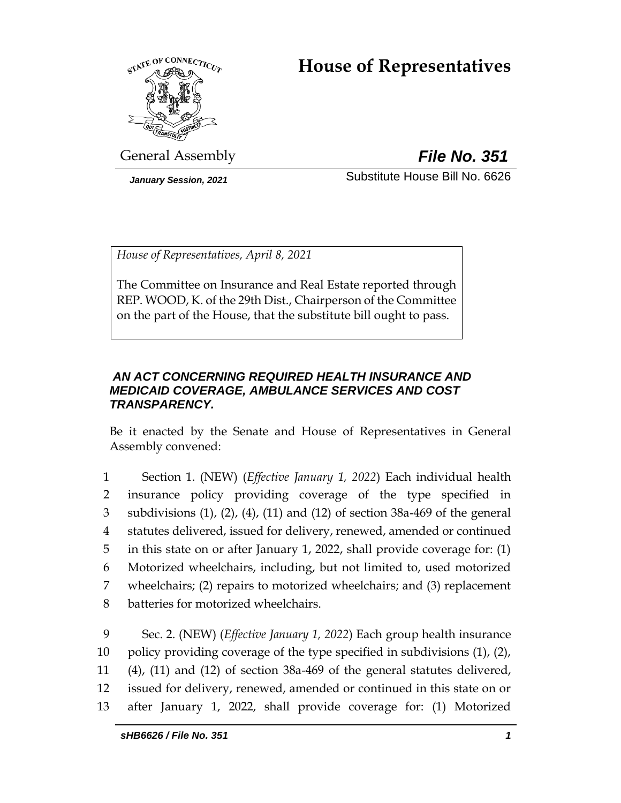# **House of Representatives**



General Assembly *File No. 351*

*January Session, 2021* Substitute House Bill No. 6626

*House of Representatives, April 8, 2021*

The Committee on Insurance and Real Estate reported through REP. WOOD, K. of the 29th Dist., Chairperson of the Committee on the part of the House, that the substitute bill ought to pass.

## *AN ACT CONCERNING REQUIRED HEALTH INSURANCE AND MEDICAID COVERAGE, AMBULANCE SERVICES AND COST TRANSPARENCY.*

Be it enacted by the Senate and House of Representatives in General Assembly convened:

 Section 1. (NEW) (*Effective January 1, 2022*) Each individual health insurance policy providing coverage of the type specified in subdivisions (1), (2), (4), (11) and (12) of section 38a-469 of the general statutes delivered, issued for delivery, renewed, amended or continued in this state on or after January 1, 2022, shall provide coverage for: (1) Motorized wheelchairs, including, but not limited to, used motorized wheelchairs; (2) repairs to motorized wheelchairs; and (3) replacement batteries for motorized wheelchairs.

 Sec. 2. (NEW) (*Effective January 1, 2022*) Each group health insurance policy providing coverage of the type specified in subdivisions (1), (2), (4), (11) and (12) of section 38a-469 of the general statutes delivered, issued for delivery, renewed, amended or continued in this state on or after January 1, 2022, shall provide coverage for: (1) Motorized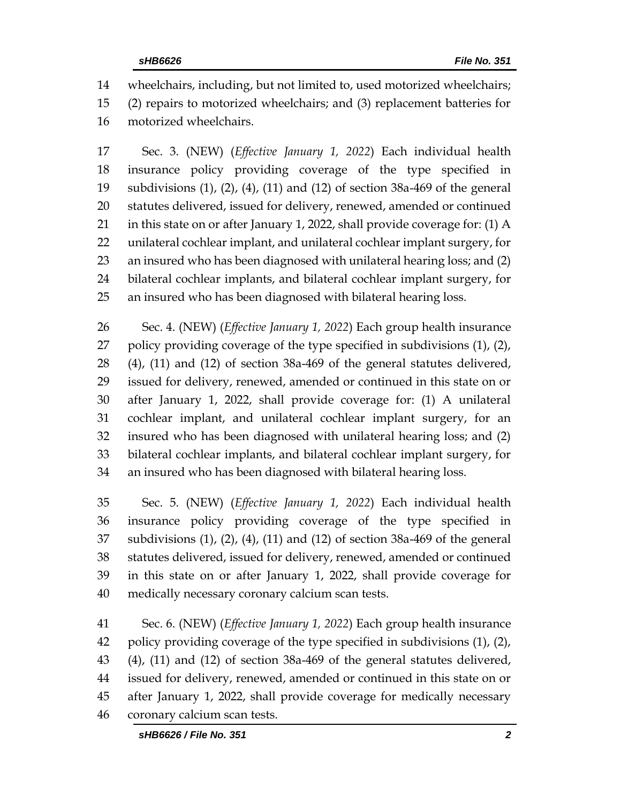wheelchairs, including, but not limited to, used motorized wheelchairs; (2) repairs to motorized wheelchairs; and (3) replacement batteries for

motorized wheelchairs.

 Sec. 3. (NEW) (*Effective January 1, 2022*) Each individual health insurance policy providing coverage of the type specified in subdivisions (1), (2), (4), (11) and (12) of section 38a-469 of the general statutes delivered, issued for delivery, renewed, amended or continued in this state on or after January 1, 2022, shall provide coverage for: (1) A unilateral cochlear implant, and unilateral cochlear implant surgery, for an insured who has been diagnosed with unilateral hearing loss; and (2) bilateral cochlear implants, and bilateral cochlear implant surgery, for an insured who has been diagnosed with bilateral hearing loss.

 Sec. 4. (NEW) (*Effective January 1, 2022*) Each group health insurance policy providing coverage of the type specified in subdivisions (1), (2), (4), (11) and (12) of section 38a-469 of the general statutes delivered, issued for delivery, renewed, amended or continued in this state on or after January 1, 2022, shall provide coverage for: (1) A unilateral cochlear implant, and unilateral cochlear implant surgery, for an insured who has been diagnosed with unilateral hearing loss; and (2) bilateral cochlear implants, and bilateral cochlear implant surgery, for an insured who has been diagnosed with bilateral hearing loss.

 Sec. 5. (NEW) (*Effective January 1, 2022*) Each individual health insurance policy providing coverage of the type specified in subdivisions (1), (2), (4), (11) and (12) of section 38a-469 of the general statutes delivered, issued for delivery, renewed, amended or continued in this state on or after January 1, 2022, shall provide coverage for medically necessary coronary calcium scan tests.

 Sec. 6. (NEW) (*Effective January 1, 2022*) Each group health insurance policy providing coverage of the type specified in subdivisions (1), (2), (4), (11) and (12) of section 38a-469 of the general statutes delivered, issued for delivery, renewed, amended or continued in this state on or after January 1, 2022, shall provide coverage for medically necessary coronary calcium scan tests.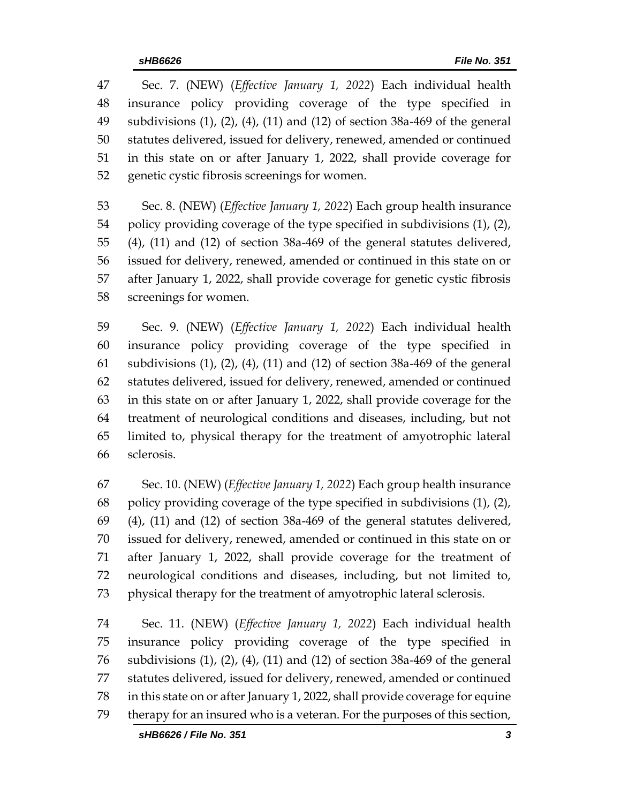Sec. 7. (NEW) (*Effective January 1, 2022*) Each individual health insurance policy providing coverage of the type specified in subdivisions (1), (2), (4), (11) and (12) of section 38a-469 of the general statutes delivered, issued for delivery, renewed, amended or continued in this state on or after January 1, 2022, shall provide coverage for genetic cystic fibrosis screenings for women.

 Sec. 8. (NEW) (*Effective January 1, 2022*) Each group health insurance policy providing coverage of the type specified in subdivisions (1), (2), (4), (11) and (12) of section 38a-469 of the general statutes delivered, issued for delivery, renewed, amended or continued in this state on or after January 1, 2022, shall provide coverage for genetic cystic fibrosis screenings for women.

 Sec. 9. (NEW) (*Effective January 1, 2022*) Each individual health insurance policy providing coverage of the type specified in subdivisions (1), (2), (4), (11) and (12) of section 38a-469 of the general statutes delivered, issued for delivery, renewed, amended or continued in this state on or after January 1, 2022, shall provide coverage for the treatment of neurological conditions and diseases, including, but not limited to, physical therapy for the treatment of amyotrophic lateral sclerosis.

 Sec. 10. (NEW) (*Effective January 1, 2022*) Each group health insurance policy providing coverage of the type specified in subdivisions (1), (2), (4), (11) and (12) of section 38a-469 of the general statutes delivered, issued for delivery, renewed, amended or continued in this state on or after January 1, 2022, shall provide coverage for the treatment of neurological conditions and diseases, including, but not limited to, physical therapy for the treatment of amyotrophic lateral sclerosis.

 Sec. 11. (NEW) (*Effective January 1, 2022*) Each individual health insurance policy providing coverage of the type specified in subdivisions (1), (2), (4), (11) and (12) of section 38a-469 of the general statutes delivered, issued for delivery, renewed, amended or continued in this state on or after January 1, 2022, shall provide coverage for equine therapy for an insured who is a veteran. For the purposes of this section,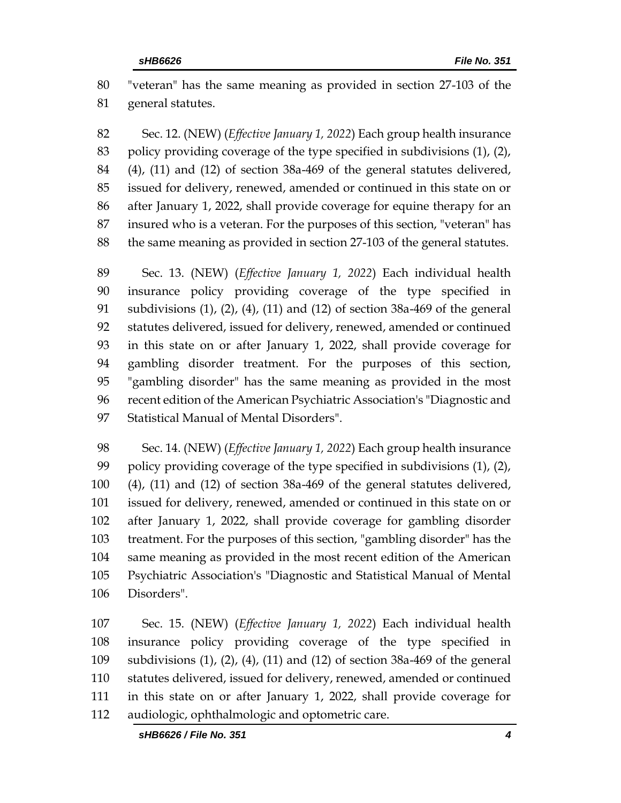"veteran" has the same meaning as provided in section 27-103 of the general statutes.

 Sec. 12. (NEW) (*Effective January 1, 2022*) Each group health insurance policy providing coverage of the type specified in subdivisions (1), (2), (4), (11) and (12) of section 38a-469 of the general statutes delivered, issued for delivery, renewed, amended or continued in this state on or after January 1, 2022, shall provide coverage for equine therapy for an insured who is a veteran. For the purposes of this section, "veteran" has the same meaning as provided in section 27-103 of the general statutes.

 Sec. 13. (NEW) (*Effective January 1, 2022*) Each individual health insurance policy providing coverage of the type specified in subdivisions (1), (2), (4), (11) and (12) of section 38a-469 of the general statutes delivered, issued for delivery, renewed, amended or continued in this state on or after January 1, 2022, shall provide coverage for gambling disorder treatment. For the purposes of this section, "gambling disorder" has the same meaning as provided in the most recent edition of the American Psychiatric Association's "Diagnostic and Statistical Manual of Mental Disorders".

 Sec. 14. (NEW) (*Effective January 1, 2022*) Each group health insurance policy providing coverage of the type specified in subdivisions (1), (2), (4), (11) and (12) of section 38a-469 of the general statutes delivered, issued for delivery, renewed, amended or continued in this state on or after January 1, 2022, shall provide coverage for gambling disorder treatment. For the purposes of this section, "gambling disorder" has the same meaning as provided in the most recent edition of the American Psychiatric Association's "Diagnostic and Statistical Manual of Mental Disorders".

 Sec. 15. (NEW) (*Effective January 1, 2022*) Each individual health insurance policy providing coverage of the type specified in subdivisions (1), (2), (4), (11) and (12) of section 38a-469 of the general statutes delivered, issued for delivery, renewed, amended or continued in this state on or after January 1, 2022, shall provide coverage for audiologic, ophthalmologic and optometric care.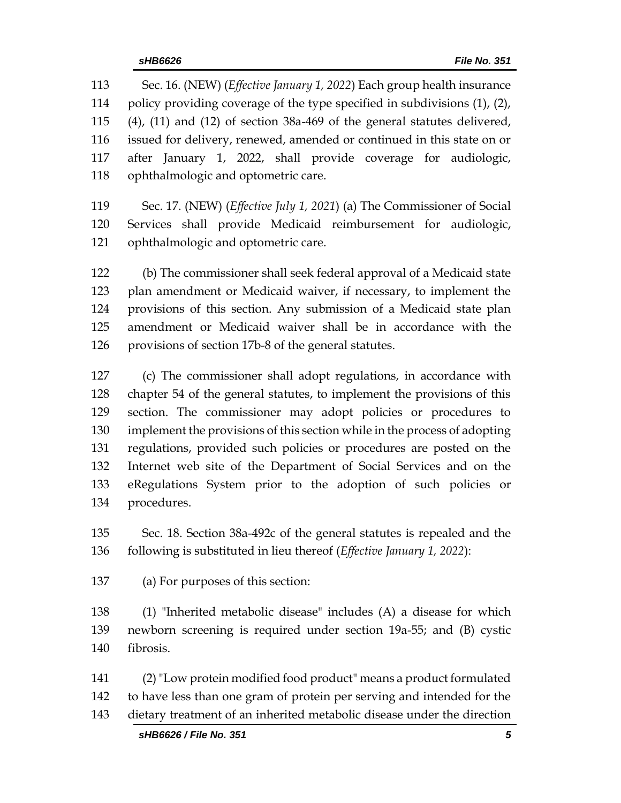Sec. 16. (NEW) (*Effective January 1, 2022*) Each group health insurance policy providing coverage of the type specified in subdivisions (1), (2), (4), (11) and (12) of section 38a-469 of the general statutes delivered, issued for delivery, renewed, amended or continued in this state on or after January 1, 2022, shall provide coverage for audiologic, ophthalmologic and optometric care.

 Sec. 17. (NEW) (*Effective July 1, 2021*) (a) The Commissioner of Social Services shall provide Medicaid reimbursement for audiologic, ophthalmologic and optometric care.

 (b) The commissioner shall seek federal approval of a Medicaid state plan amendment or Medicaid waiver, if necessary, to implement the provisions of this section. Any submission of a Medicaid state plan amendment or Medicaid waiver shall be in accordance with the provisions of section 17b-8 of the general statutes.

 (c) The commissioner shall adopt regulations, in accordance with chapter 54 of the general statutes, to implement the provisions of this section. The commissioner may adopt policies or procedures to implement the provisions of this section while in the process of adopting regulations, provided such policies or procedures are posted on the Internet web site of the Department of Social Services and on the eRegulations System prior to the adoption of such policies or procedures.

 Sec. 18. Section 38a-492c of the general statutes is repealed and the following is substituted in lieu thereof (*Effective January 1, 2022*):

(a) For purposes of this section:

 (1) "Inherited metabolic disease" includes (A) a disease for which newborn screening is required under section 19a-55; and (B) cystic fibrosis.

 (2)"Low protein modified food product" means a product formulated to have less than one gram of protein per serving and intended for the dietary treatment of an inherited metabolic disease under the direction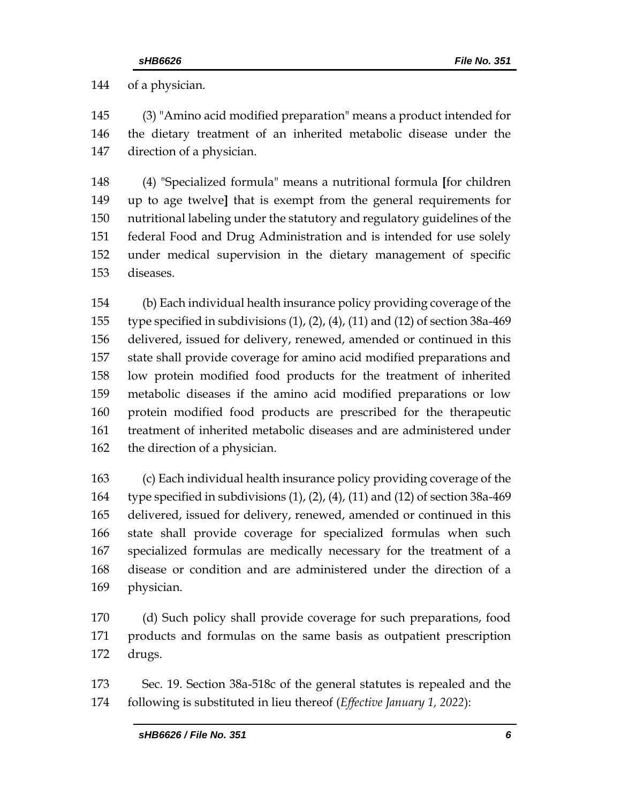of a physician.

 (3) "Amino acid modified preparation" means a product intended for the dietary treatment of an inherited metabolic disease under the direction of a physician.

 (4) "Specialized formula" means a nutritional formula **[**for children up to age twelve**]** that is exempt from the general requirements for nutritional labeling under the statutory and regulatory guidelines of the federal Food and Drug Administration and is intended for use solely under medical supervision in the dietary management of specific diseases.

 (b) Each individual health insurance policy providing coverage of the type specified in subdivisions (1), (2), (4), (11) and (12) of section 38a-469 delivered, issued for delivery, renewed, amended or continued in this state shall provide coverage for amino acid modified preparations and low protein modified food products for the treatment of inherited metabolic diseases if the amino acid modified preparations or low protein modified food products are prescribed for the therapeutic treatment of inherited metabolic diseases and are administered under the direction of a physician.

 (c) Each individual health insurance policy providing coverage of the type specified in subdivisions (1), (2), (4), (11) and (12) of section 38a-469 delivered, issued for delivery, renewed, amended or continued in this state shall provide coverage for specialized formulas when such specialized formulas are medically necessary for the treatment of a disease or condition and are administered under the direction of a physician.

 (d) Such policy shall provide coverage for such preparations, food products and formulas on the same basis as outpatient prescription drugs.

 Sec. 19. Section 38a-518c of the general statutes is repealed and the following is substituted in lieu thereof (*Effective January 1, 2022*):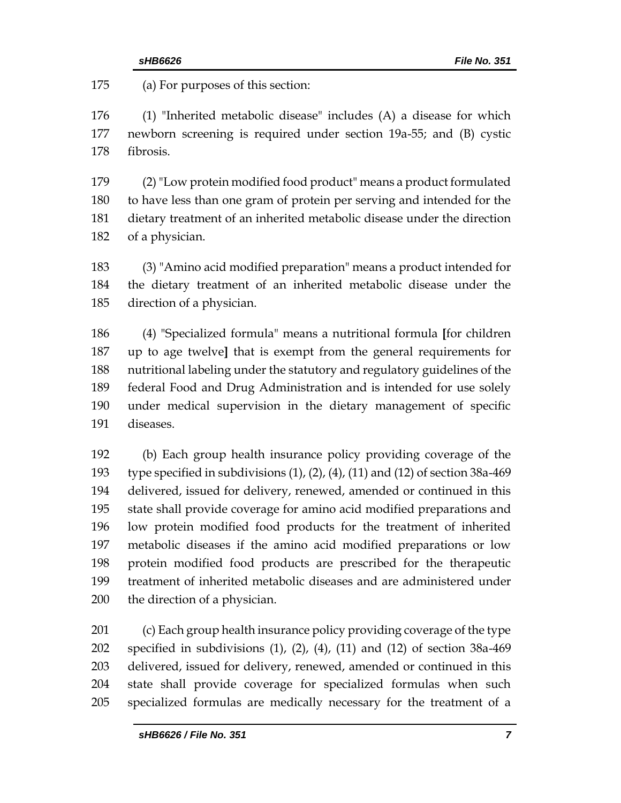(a) For purposes of this section:

 (1) "Inherited metabolic disease" includes (A) a disease for which newborn screening is required under section 19a-55; and (B) cystic fibrosis.

 (2)"Low protein modified food product" means a product formulated to have less than one gram of protein per serving and intended for the dietary treatment of an inherited metabolic disease under the direction of a physician.

 (3) "Amino acid modified preparation" means a product intended for the dietary treatment of an inherited metabolic disease under the direction of a physician.

 (4) "Specialized formula" means a nutritional formula **[**for children up to age twelve**]** that is exempt from the general requirements for nutritional labeling under the statutory and regulatory guidelines of the federal Food and Drug Administration and is intended for use solely under medical supervision in the dietary management of specific diseases.

 (b) Each group health insurance policy providing coverage of the type specified in subdivisions (1), (2), (4), (11) and (12) of section 38a-469 delivered, issued for delivery, renewed, amended or continued in this state shall provide coverage for amino acid modified preparations and low protein modified food products for the treatment of inherited metabolic diseases if the amino acid modified preparations or low protein modified food products are prescribed for the therapeutic treatment of inherited metabolic diseases and are administered under the direction of a physician.

 (c) Each group health insurance policy providing coverage of the type specified in subdivisions (1), (2), (4), (11) and (12) of section 38a-469 delivered, issued for delivery, renewed, amended or continued in this state shall provide coverage for specialized formulas when such specialized formulas are medically necessary for the treatment of a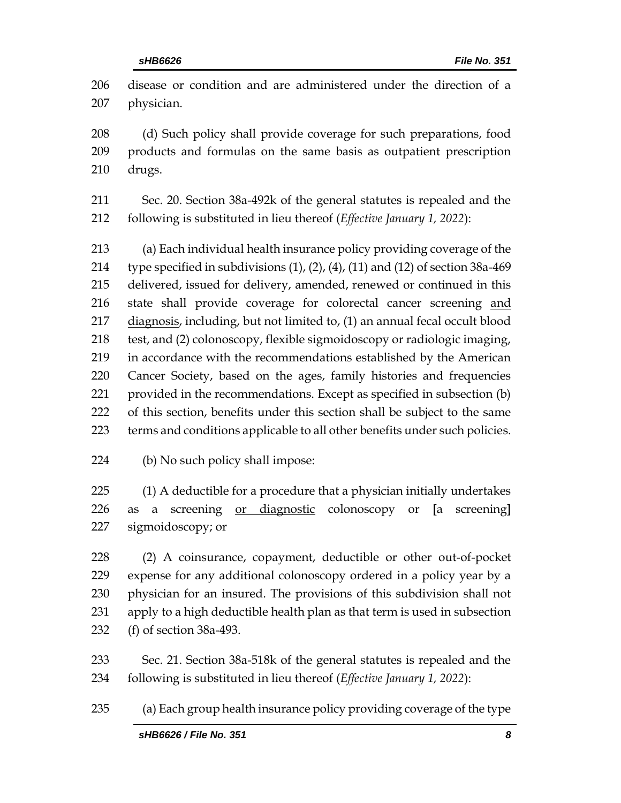disease or condition and are administered under the direction of a physician. (d) Such policy shall provide coverage for such preparations, food products and formulas on the same basis as outpatient prescription drugs. Sec. 20. Section 38a-492k of the general statutes is repealed and the following is substituted in lieu thereof (*Effective January 1, 2022*): (a) Each individual health insurance policy providing coverage of the 214 type specified in subdivisions  $(1)$ ,  $(2)$ ,  $(4)$ ,  $(11)$  and  $(12)$  of section 38a-469 delivered, issued for delivery, amended, renewed or continued in this state shall provide coverage for colorectal cancer screening and diagnosis, including, but not limited to, (1) an annual fecal occult blood test, and (2) colonoscopy, flexible sigmoidoscopy or radiologic imaging, in accordance with the recommendations established by the American

 Cancer Society, based on the ages, family histories and frequencies provided in the recommendations. Except as specified in subsection (b) of this section, benefits under this section shall be subject to the same

- terms and conditions applicable to all other benefits under such policies.
- (b) No such policy shall impose:

 (1) A deductible for a procedure that a physician initially undertakes as a screening or diagnostic colonoscopy or **[**a screening**]** sigmoidoscopy; or

 (2) A coinsurance, copayment, deductible or other out-of-pocket expense for any additional colonoscopy ordered in a policy year by a physician for an insured. The provisions of this subdivision shall not apply to a high deductible health plan as that term is used in subsection (f) of section 38a-493.

 Sec. 21. Section 38a-518k of the general statutes is repealed and the following is substituted in lieu thereof (*Effective January 1, 2022*):

(a) Each group health insurance policy providing coverage of the type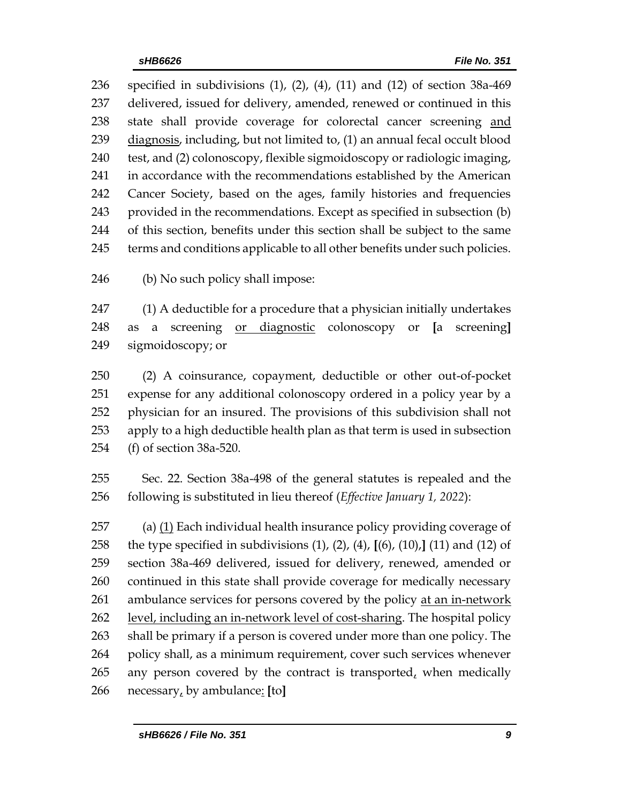specified in subdivisions (1), (2), (4), (11) and (12) of section 38a-469 delivered, issued for delivery, amended, renewed or continued in this state shall provide coverage for colorectal cancer screening and diagnosis, including, but not limited to, (1) an annual fecal occult blood test, and (2) colonoscopy, flexible sigmoidoscopy or radiologic imaging, in accordance with the recommendations established by the American Cancer Society, based on the ages, family histories and frequencies provided in the recommendations. Except as specified in subsection (b) of this section, benefits under this section shall be subject to the same 245 terms and conditions applicable to all other benefits under such policies.

(b) No such policy shall impose:

 (1) A deductible for a procedure that a physician initially undertakes as a screening or diagnostic colonoscopy or **[**a screening**]** sigmoidoscopy; or

 (2) A coinsurance, copayment, deductible or other out-of-pocket expense for any additional colonoscopy ordered in a policy year by a physician for an insured. The provisions of this subdivision shall not apply to a high deductible health plan as that term is used in subsection (f) of section 38a-520.

 Sec. 22. Section 38a-498 of the general statutes is repealed and the following is substituted in lieu thereof (*Effective January 1, 2022*):

 (a) (1) Each individual health insurance policy providing coverage of the type specified in subdivisions (1), (2), (4), **[**(6), (10),**]** (11) and (12) of section 38a-469 delivered, issued for delivery, renewed, amended or continued in this state shall provide coverage for medically necessary ambulance services for persons covered by the policy at an in-network level, including an in-network level of cost-sharing. The hospital policy shall be primary if a person is covered under more than one policy. The policy shall, as a minimum requirement, cover such services whenever 265 any person covered by the contract is transported, when medically necessary, by ambulance: **[**to**]**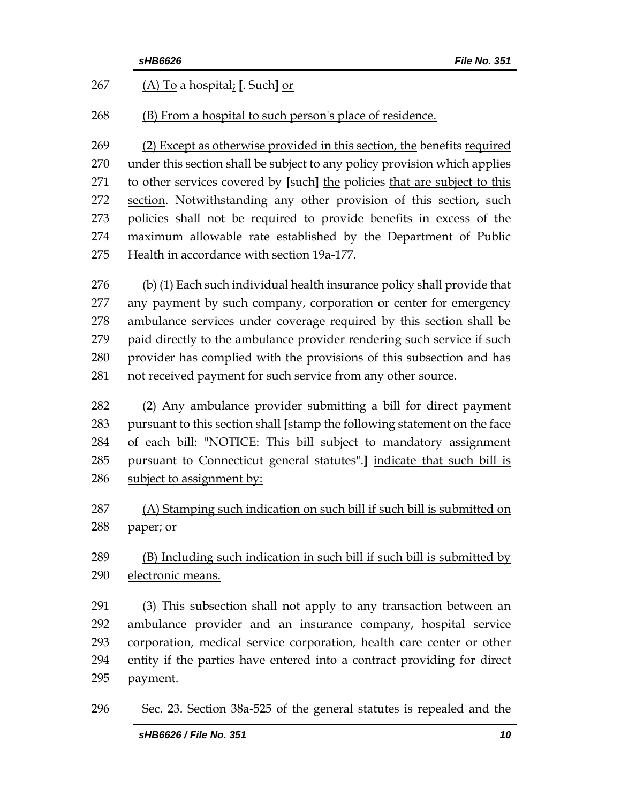|     | File No. 351<br>sHB6626                                                   |
|-----|---------------------------------------------------------------------------|
| 267 | (A) To a hospital; [. Such] or                                            |
| 268 | (B) From a hospital to such person's place of residence.                  |
| 269 | (2) Except as otherwise provided in this section, the benefits required   |
| 270 | under this section shall be subject to any policy provision which applies |
| 271 | to other services covered by [such] the policies that are subject to this |
| 272 | section. Notwithstanding any other provision of this section, such        |
| 273 | policies shall not be required to provide benefits in excess of the       |
| 274 | maximum allowable rate established by the Department of Public            |
| 275 | Health in accordance with section 19a-177.                                |
| 276 | (b) (1) Each such individual health insurance policy shall provide that   |
| 277 | any payment by such company, corporation or center for emergency          |
| 278 | ambulance services under coverage required by this section shall be       |
| 279 | paid directly to the ambulance provider rendering such service if such    |
| 280 | provider has complied with the provisions of this subsection and has      |
| 281 | not received payment for such service from any other source.              |
| 282 | (2) Any ambulance provider submitting a bill for direct payment           |
| 283 | pursuant to this section shall [stamp the following statement on the face |
| 284 | of each bill: "NOTICE: This bill subject to mandatory assignment          |
| 285 | pursuant to Connecticut general statutes".] indicate that such bill is    |
| 286 | subject to assignment by:                                                 |
| 287 | (A) Stamping such indication on such bill if such bill is submitted on    |
| 288 | paper; or                                                                 |
| 289 | (B) Including such indication in such bill if such bill is submitted by   |
| 290 | electronic means.                                                         |
| 291 | (3) This subsection shall not apply to any transaction between an         |
| 292 | ambulance provider and an insurance company, hospital service             |
| 293 | corporation, medical service corporation, health care center or other     |
| 294 | entity if the parties have entered into a contract providing for direct   |
| 295 | payment.                                                                  |
| 296 | Sec. 23. Section 38a-525 of the general statutes is repealed and the      |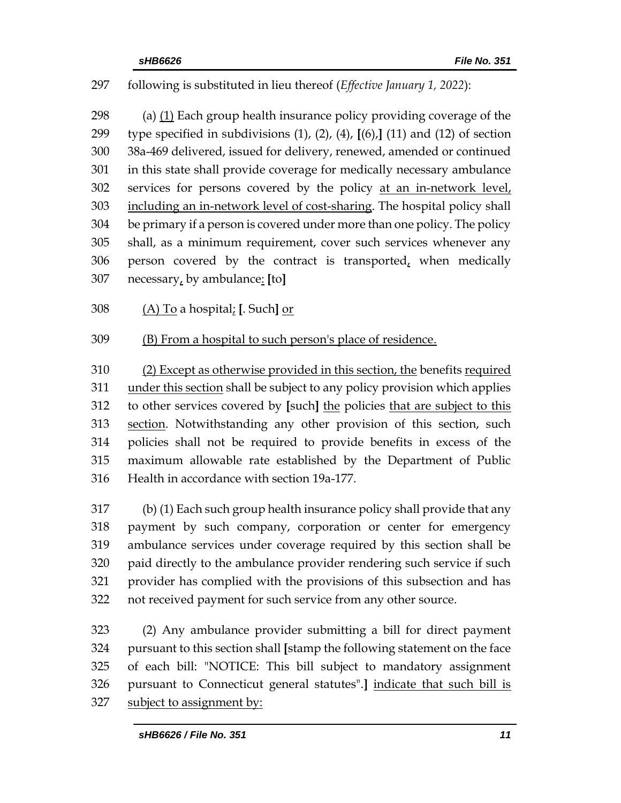## following is substituted in lieu thereof (*Effective January 1, 2022*):

 (a) (1) Each group health insurance policy providing coverage of the type specified in subdivisions (1), (2), (4), **[**(6),**]** (11) and (12) of section 38a-469 delivered, issued for delivery, renewed, amended or continued in this state shall provide coverage for medically necessary ambulance 302 services for persons covered by the policy at an in-network level, including an in-network level of cost-sharing. The hospital policy shall be primary if a person is covered under more than one policy. The policy shall, as a minimum requirement, cover such services whenever any 306 person covered by the contract is transported, when medically necessary, by ambulance: **[**to**]**

- (A) To a hospital; **[**. Such**]** or
- (B) From a hospital to such person's place of residence.

 (2) Except as otherwise provided in this section, the benefits required under this section shall be subject to any policy provision which applies to other services covered by **[**such**]** the policies that are subject to this section. Notwithstanding any other provision of this section, such policies shall not be required to provide benefits in excess of the maximum allowable rate established by the Department of Public Health in accordance with section 19a-177.

 (b) (1) Each such group health insurance policy shall provide that any payment by such company, corporation or center for emergency ambulance services under coverage required by this section shall be paid directly to the ambulance provider rendering such service if such provider has complied with the provisions of this subsection and has not received payment for such service from any other source.

 (2) Any ambulance provider submitting a bill for direct payment pursuant to this section shall **[**stamp the following statement on the face of each bill: "NOTICE: This bill subject to mandatory assignment pursuant to Connecticut general statutes".**]** indicate that such bill is subject to assignment by: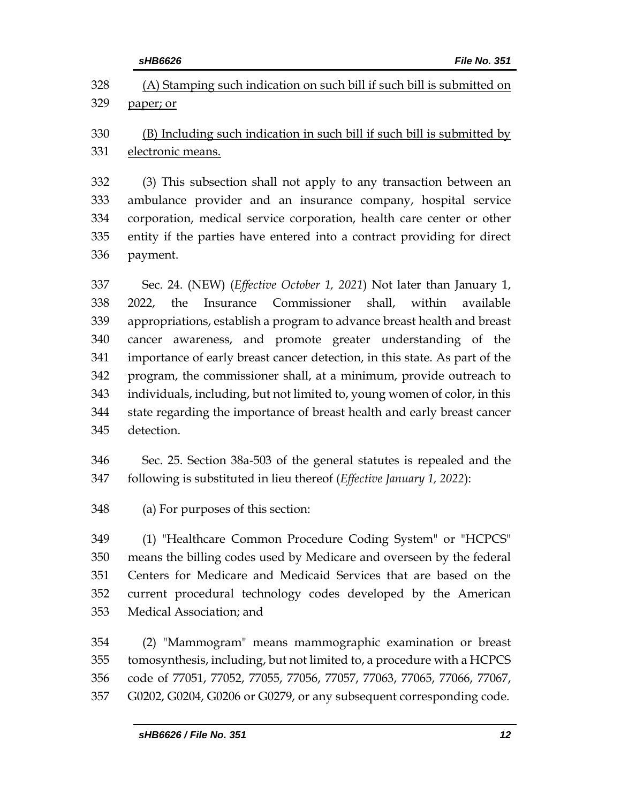|     | sHB6626<br><b>File No. 351</b>                                                |
|-----|-------------------------------------------------------------------------------|
| 328 | (A) Stamping such indication on such bill if such bill is submitted on        |
| 329 | paper; or                                                                     |
| 330 | (B) Including such indication in such bill if such bill is submitted by       |
| 331 | electronic means.                                                             |
| 332 | (3) This subsection shall not apply to any transaction between an             |
| 333 | ambulance provider and an insurance company, hospital service                 |
| 334 | corporation, medical service corporation, health care center or other         |
|     | entity if the parties have entered into a contract providing for direct       |
|     | payment.                                                                      |
| 337 | Sec. 24. (NEW) ( <i>Effective October 1, 2021</i> ) Not later than January 1, |
|     | Commissioner<br>shall,<br>within<br>the<br>Insurance<br>available<br>2022,    |
|     | appropriations, establish a program to advance breast health and breast       |
|     | cancer awareness, and promote greater understanding of the                    |
|     | importance of early breast cancer detection, in this state. As part of the    |
|     | program, the commissioner shall, at a minimum, provide outreach to            |
|     | individuals, including, but not limited to, young women of color, in this     |
|     | state regarding the importance of breast health and early breast cancer       |
|     | detection.                                                                    |
|     | Sec. 25. Section 38a-503 of the general statutes is repealed and the          |
|     | following is substituted in lieu thereof (Effective January 1, 2022):         |
|     | (a) For purposes of this section:                                             |
|     | (1) "Healthcare Common Procedure Coding System" or "HCPCS"                    |
|     | means the billing codes used by Medicare and overseen by the federal          |
|     | Centers for Medicare and Medicaid Services that are based on the              |
|     | current procedural technology codes developed by the American                 |
|     | Medical Association; and                                                      |
|     |                                                                               |

 (2) "Mammogram" means mammographic examination or breast tomosynthesis, including, but not limited to, a procedure with a HCPCS code of 77051, 77052, 77055, 77056, 77057, 77063, 77065, 77066, 77067, G0202, G0204, G0206 or G0279, or any subsequent corresponding code.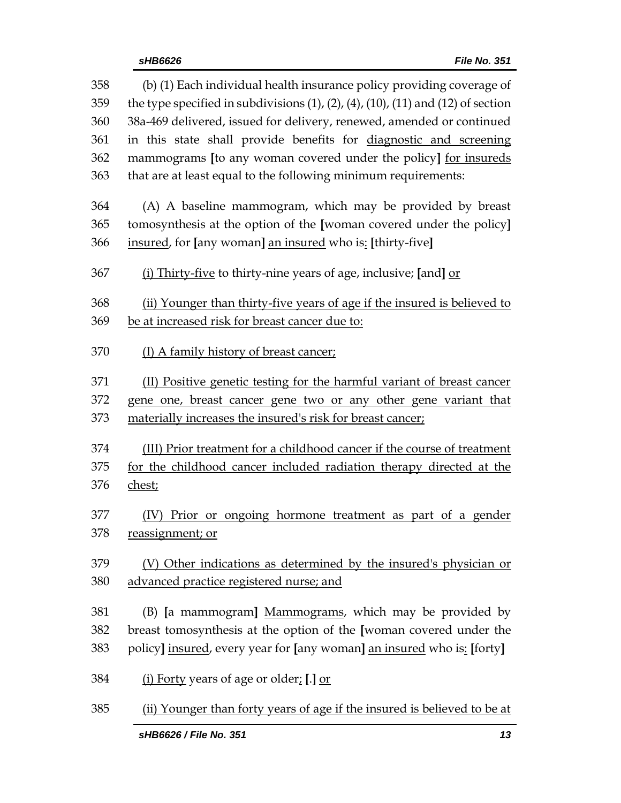| 358        | (b) (1) Each individual health insurance policy providing coverage of                            |  |  |
|------------|--------------------------------------------------------------------------------------------------|--|--|
| 359        | the type specified in subdivisions $(1)$ , $(2)$ , $(4)$ , $(10)$ , $(11)$ and $(12)$ of section |  |  |
| 360<br>361 | 38a-469 delivered, issued for delivery, renewed, amended or continued                            |  |  |
|            | in this state shall provide benefits for diagnostic and screening                                |  |  |
| 362        | mammograms [to any woman covered under the policy] <u>for insureds</u>                           |  |  |
| 363        | that are at least equal to the following minimum requirements:                                   |  |  |
| 364        | (A) A baseline mammogram, which may be provided by breast                                        |  |  |
| 365        | tomosynthesis at the option of the [woman covered under the policy]                              |  |  |
| 366        | insured, for [any woman] an insured who is: [thirty-five]                                        |  |  |
| 367        | (i) Thirty-five to thirty-nine years of age, inclusive; [and] or                                 |  |  |
| 368        | (ii) Younger than thirty-five years of age if the insured is believed to                         |  |  |
| 369        | be at increased risk for breast cancer due to:                                                   |  |  |
| 370        | (I) A family history of breast cancer;                                                           |  |  |
| 371        | (II) Positive genetic testing for the harmful variant of breast cancer                           |  |  |
| 372        | gene one, breast cancer gene two or any other gene variant that                                  |  |  |
| 373        | materially increases the insured's risk for breast cancer;                                       |  |  |
| 374        | (III) Prior treatment for a childhood cancer if the course of treatment                          |  |  |
| 375        |                                                                                                  |  |  |
|            | for the childhood cancer included radiation therapy directed at the                              |  |  |
| 376        | chest;                                                                                           |  |  |
| 377        | Prior or ongoing hormone treatment as part of a gender                                           |  |  |
| 378        | reassignment; or                                                                                 |  |  |
| 379        | (V) Other indications as determined by the insured's physician or                                |  |  |
| 380        | advanced practice registered nurse; and                                                          |  |  |
|            |                                                                                                  |  |  |
| 381        | (B) [a mammogram] Mammograms, which may be provided by                                           |  |  |
| 382        | breast tomosynthesis at the option of the [woman covered under the                               |  |  |
| 383        | policy] insured, every year for [any woman] an insured who is: [forty]                           |  |  |
| 384        | (i) Forty years of age or older; [.] or                                                          |  |  |
| 385        | (ii) Younger than forty years of age if the insured is believed to be at                         |  |  |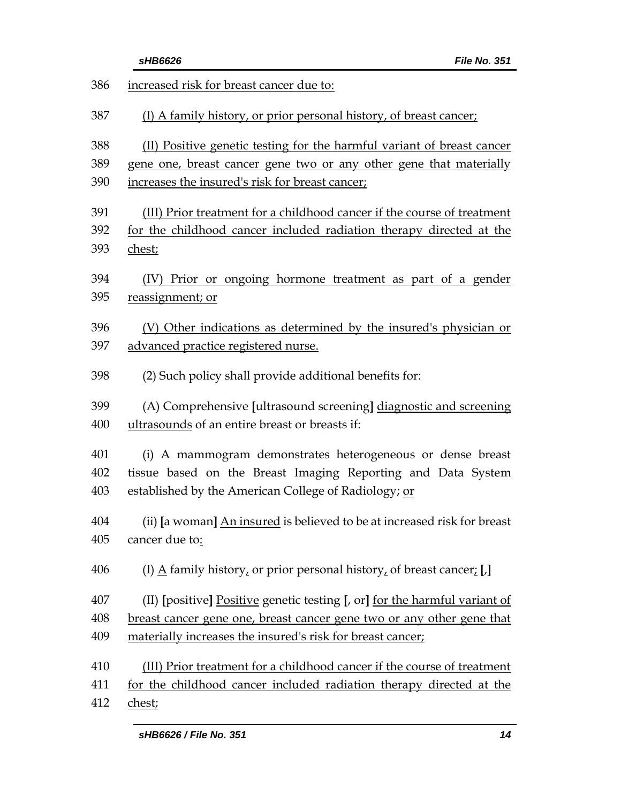|     | File No. 351<br>sHB6626                                                              |
|-----|--------------------------------------------------------------------------------------|
| 386 | increased risk for breast cancer due to:                                             |
| 387 | (I) A family history, or prior personal history, of breast cancer;                   |
| 388 | (II) Positive genetic testing for the harmful variant of breast cancer               |
| 389 | gene one, breast cancer gene two or any other gene that materially                   |
| 390 | increases the insured's risk for breast cancer;                                      |
| 391 | (III) Prior treatment for a childhood cancer if the course of treatment              |
| 392 | for the childhood cancer included radiation therapy directed at the                  |
| 393 | chest;                                                                               |
| 394 | (IV) Prior or ongoing hormone treatment as part of a gender                          |
| 395 | reassignment; or                                                                     |
| 396 | (V) Other indications as determined by the insured's physician or                    |
| 397 | advanced practice registered nurse.                                                  |
| 398 | (2) Such policy shall provide additional benefits for:                               |
| 399 | (A) Comprehensive [ultrasound screening] diagnostic and screening                    |
| 400 | ultrasounds of an entire breast or breasts if:                                       |
| 401 | (i) A mammogram demonstrates heterogeneous or dense breast                           |
| 402 | tissue based on the Breast Imaging Reporting and Data System                         |
| 403 | established by the American College of Radiology; or                                 |
| 404 | (ii) [a woman] An insured is believed to be at increased risk for breast             |
| 405 | cancer due to:                                                                       |
| 406 | (I) $\underline{A}$ family history, or prior personal history, of breast cancer; [,] |
| 407 | (II) [positive] Positive genetic testing [, or] for the harmful variant of           |
| 408 | breast cancer gene one, breast cancer gene two or any other gene that                |
| 409 | materially increases the insured's risk for breast cancer;                           |
| 410 | (III) Prior treatment for a childhood cancer if the course of treatment              |
| 411 | for the childhood cancer included radiation therapy directed at the                  |
| 412 | chest;                                                                               |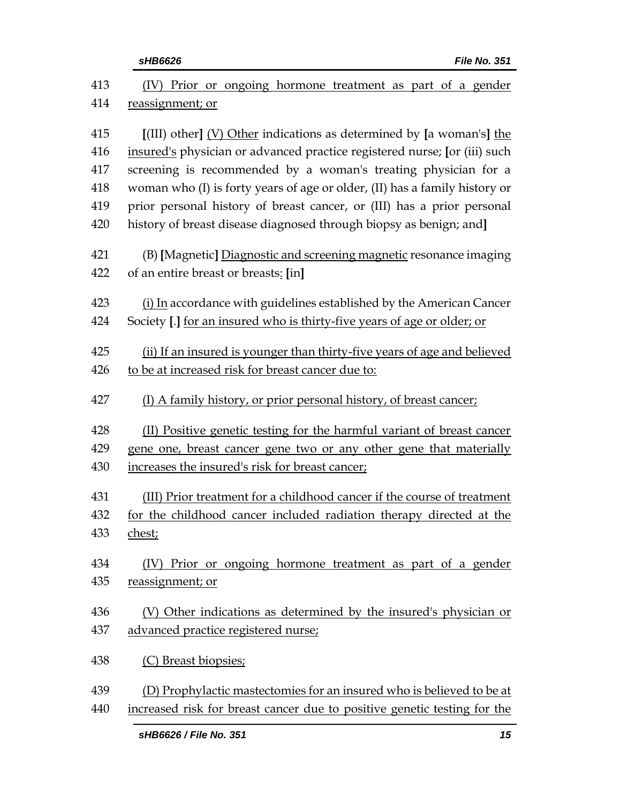| sHB6626                                           | File No. 351                                                                                                                                                                     |
|---------------------------------------------------|----------------------------------------------------------------------------------------------------------------------------------------------------------------------------------|
|                                                   | (IV) Prior or ongoing hormone treatment as part of a gender                                                                                                                      |
| reassignment; or                                  |                                                                                                                                                                                  |
|                                                   | $\left[ \frac{\text{[III]}}{\text{[III]}} \right]$ other $\left[ \frac{\text{[V]}}{\text{[O]}} \right]$ other indications as determined by $\left[ \text{a woman's} \right]$ the |
|                                                   | insured's physician or advanced practice registered nurse; [or (iii) such                                                                                                        |
|                                                   | screening is recommended by a woman's treating physician for a                                                                                                                   |
|                                                   | woman who (I) is forty years of age or older, (II) has a family history or                                                                                                       |
|                                                   | prior personal history of breast cancer, or (III) has a prior personal                                                                                                           |
|                                                   | history of breast disease diagnosed through biopsy as benign; and]                                                                                                               |
|                                                   | (B) [Magnetic] Diagnostic and screening magnetic resonance imaging                                                                                                               |
| of an entire breast or breasts: [in]              |                                                                                                                                                                                  |
|                                                   | (i) In accordance with guidelines established by the American Cancer                                                                                                             |
|                                                   | Society [.] for an insured who is thirty-five years of age or older; or                                                                                                          |
|                                                   | (ii) If an insured is younger than thirty-five years of age and believed                                                                                                         |
| to be at increased risk for breast cancer due to: |                                                                                                                                                                                  |
|                                                   | (I) A family history, or prior personal history, of breast cancer;                                                                                                               |
|                                                   | (II) Positive genetic testing for the harmful variant of breast cancer                                                                                                           |
|                                                   | gene one, breast cancer gene two or any other gene that materially                                                                                                               |
| increases the insured's risk for breast cancer;   |                                                                                                                                                                                  |
|                                                   | (III) Prior treatment for a childhood cancer if the course of treatment                                                                                                          |
|                                                   | for the childhood cancer included radiation therapy directed at the                                                                                                              |
| chest;                                            |                                                                                                                                                                                  |
|                                                   | (IV) Prior or ongoing hormone treatment as part of a gender                                                                                                                      |
| reassignment; or                                  |                                                                                                                                                                                  |
|                                                   | (V) Other indications as determined by the insured's physician or                                                                                                                |
| advanced practice registered nurse;               |                                                                                                                                                                                  |
| (C) Breast biopsies;                              |                                                                                                                                                                                  |
|                                                   | (D) Prophylactic mastectomies for an insured who is believed to be at                                                                                                            |
|                                                   | increased risk for breast cancer due to positive genetic testing for the                                                                                                         |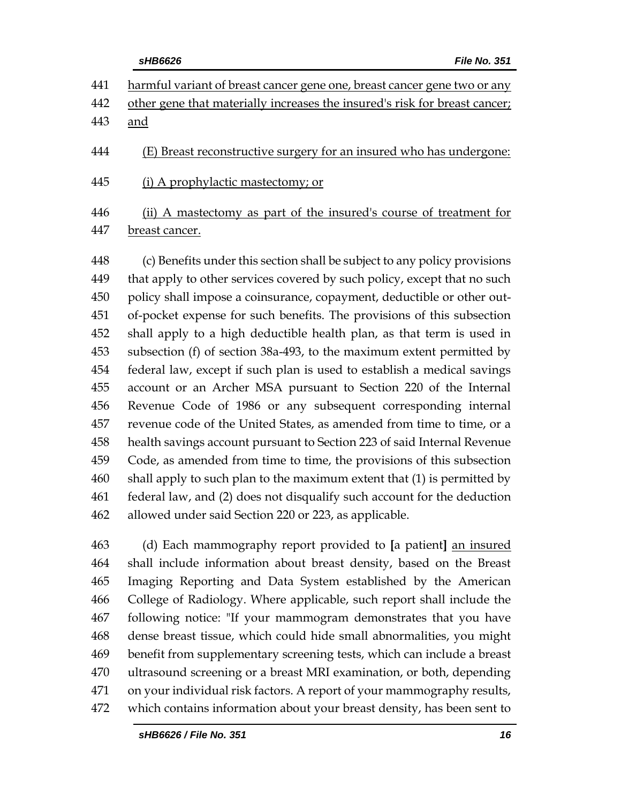|             | <b>File No. 351</b><br>sHB6626                                             |
|-------------|----------------------------------------------------------------------------|
| 441         | harmful variant of breast cancer gene one, breast cancer gene two or any   |
| 442         | other gene that materially increases the insured's risk for breast cancer; |
| 443         | and                                                                        |
| 444         | (E) Breast reconstructive surgery for an insured who has undergone:        |
| 445         | (i) A prophylactic mastectomy; or                                          |
| 446         | (ii) A mastectomy as part of the insured's course of treatment for         |
| 447         | breast cancer.                                                             |
| 448         | (c) Benefits under this section shall be subject to any policy provisions  |
| 449         | that apply to other services covered by such policy, except that no such   |
| 450         | policy shall impose a coinsurance, copayment, deductible or other out-     |
| $\sqrt{51}$ | of pocket expanse for such benefite. The provisions of this subsection     |

 of-pocket expense for such benefits. The provisions of this subsection shall apply to a high deductible health plan, as that term is used in subsection (f) of section 38a-493, to the maximum extent permitted by federal law, except if such plan is used to establish a medical savings account or an Archer MSA pursuant to Section 220 of the Internal Revenue Code of 1986 or any subsequent corresponding internal revenue code of the United States, as amended from time to time, or a health savings account pursuant to Section 223 of said Internal Revenue Code, as amended from time to time, the provisions of this subsection shall apply to such plan to the maximum extent that (1) is permitted by federal law, and (2) does not disqualify such account for the deduction allowed under said Section 220 or 223, as applicable.

 (d) Each mammography report provided to **[**a patient**]** an insured shall include information about breast density, based on the Breast Imaging Reporting and Data System established by the American College of Radiology. Where applicable, such report shall include the following notice: "If your mammogram demonstrates that you have dense breast tissue, which could hide small abnormalities, you might benefit from supplementary screening tests, which can include a breast ultrasound screening or a breast MRI examination, or both, depending on your individual risk factors. A report of your mammography results, which contains information about your breast density, has been sent to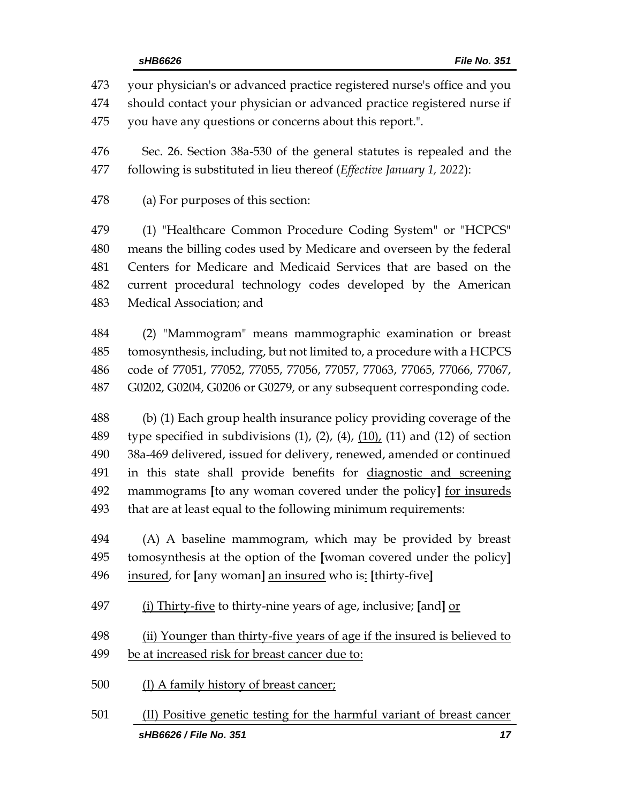your physician's or advanced practice registered nurse's office and you should contact your physician or advanced practice registered nurse if you have any questions or concerns about this report.".

 Sec. 26. Section 38a-530 of the general statutes is repealed and the following is substituted in lieu thereof (*Effective January 1, 2022*):

(a) For purposes of this section:

 (1) "Healthcare Common Procedure Coding System" or "HCPCS" means the billing codes used by Medicare and overseen by the federal Centers for Medicare and Medicaid Services that are based on the current procedural technology codes developed by the American Medical Association; and

 (2) "Mammogram" means mammographic examination or breast tomosynthesis, including, but not limited to, a procedure with a HCPCS code of 77051, 77052, 77055, 77056, 77057, 77063, 77065, 77066, 77067, G0202, G0204, G0206 or G0279, or any subsequent corresponding code.

 (b) (1) Each group health insurance policy providing coverage of the 489 type specified in subdivisions  $(1)$ ,  $(2)$ ,  $(4)$ ,  $(10)$ ,  $(11)$  and  $(12)$  of section 38a-469 delivered, issued for delivery, renewed, amended or continued in this state shall provide benefits for diagnostic and screening mammograms **[**to any woman covered under the policy**]** for insureds that are at least equal to the following minimum requirements:

 (A) A baseline mammogram, which may be provided by breast tomosynthesis at the option of the **[**woman covered under the policy**]** insured, for **[**any woman**]** an insured who is: **[**thirty-five**]**

(i) Thirty-five to thirty-nine years of age, inclusive; **[**and**]** or

 (ii) Younger than thirty-five years of age if the insured is believed to be at increased risk for breast cancer due to:

- (I) A family history of breast cancer;
- *sHB6626 / File No. 351 17* (II) Positive genetic testing for the harmful variant of breast cancer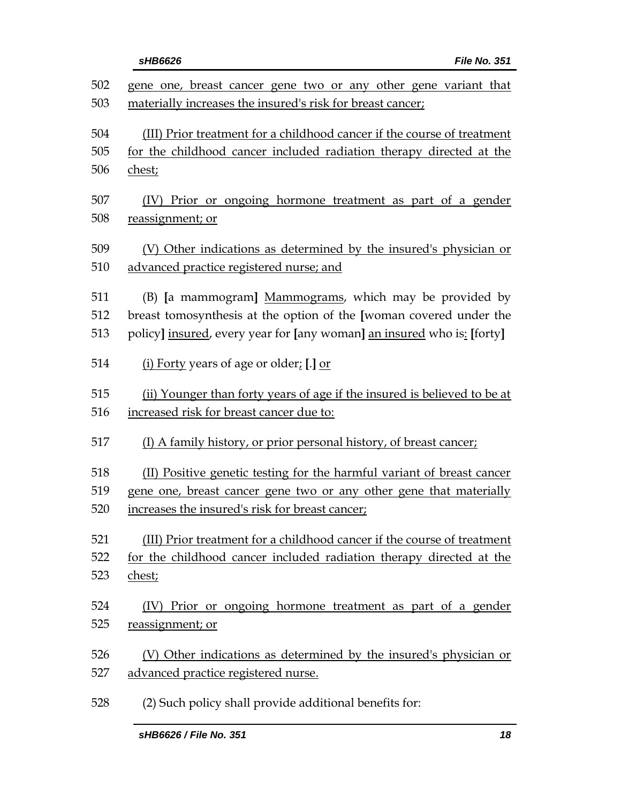|            | <b>File No. 351</b><br>sHB6626                                                                                                |
|------------|-------------------------------------------------------------------------------------------------------------------------------|
| 502<br>503 | gene one, breast cancer gene two or any other gene variant that<br>materially increases the insured's risk for breast cancer; |
| 504        | (III) Prior treatment for a childhood cancer if the course of treatment                                                       |
| 505        | for the childhood cancer included radiation therapy directed at the                                                           |
| 506        | chest;                                                                                                                        |
| 507        | (IV) Prior or ongoing hormone treatment as part of a gender                                                                   |
| 508        | reassignment; or                                                                                                              |
| 509        | (V) Other indications as determined by the insured's physician or                                                             |
| 510        | advanced practice registered nurse; and                                                                                       |
| 511        | (B) [a mammogram] Mammograms, which may be provided by                                                                        |
| 512        | breast tomosynthesis at the option of the [woman covered under the                                                            |
| 513        | policy] insured, every year for [any woman] an insured who is: [forty]                                                        |
| 514        | (i) Forty years of age or older; [.] or                                                                                       |
| 515        | (ii) Younger than forty years of age if the insured is believed to be at                                                      |
| 516        | increased risk for breast cancer due to:                                                                                      |
| 517        | (I) A family history, or prior personal history, of breast cancer;                                                            |
| 518        | (II) Positive genetic testing for the harmful variant of breast cancer                                                        |
| 519        | gene one, breast cancer gene two or any other gene that materially                                                            |
| 520        | increases the insured's risk for breast cancer;                                                                               |
| 521        | (III) Prior treatment for a childhood cancer if the course of treatment                                                       |
| 522        | for the childhood cancer included radiation therapy directed at the                                                           |
| 523        | chest;                                                                                                                        |
| 524        | (IV) Prior or ongoing hormone treatment as part of a gender                                                                   |
| 525        | reassignment; or                                                                                                              |
| 526        | (V) Other indications as determined by the insured's physician or                                                             |
| 527        | advanced practice registered nurse.                                                                                           |
| 528        | (2) Such policy shall provide additional benefits for:                                                                        |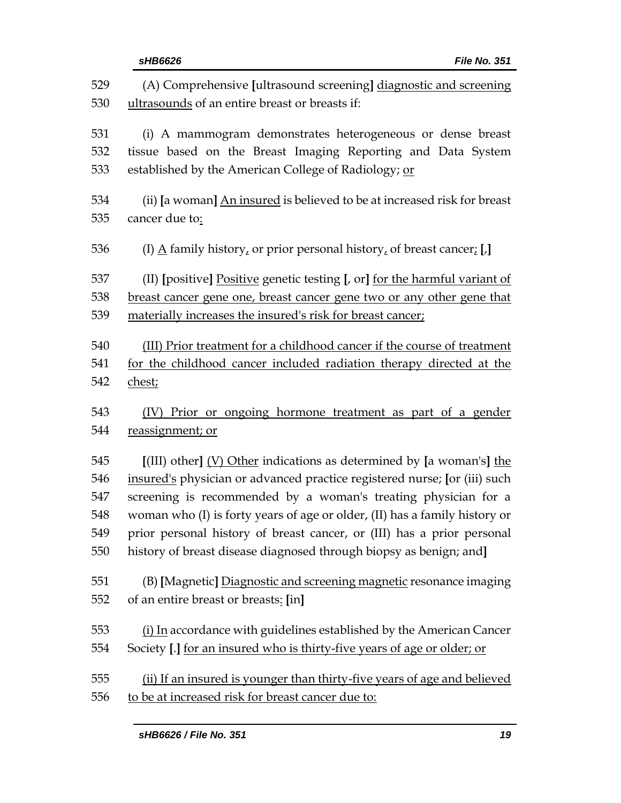|            | <b>File No. 351</b><br>sHB6626                                                                                                                                                    |  |  |
|------------|-----------------------------------------------------------------------------------------------------------------------------------------------------------------------------------|--|--|
| 529<br>530 | (A) Comprehensive [ultrasound screening] diagnostic and screening<br>ultrasounds of an entire breast or breasts if:                                                               |  |  |
| 531        | (i) A mammogram demonstrates heterogeneous or dense breast                                                                                                                        |  |  |
| 532        | tissue based on the Breast Imaging Reporting and Data System                                                                                                                      |  |  |
| 533        | established by the American College of Radiology; or                                                                                                                              |  |  |
| 534        | (ii) [a woman] An insured is believed to be at increased risk for breast                                                                                                          |  |  |
| 535        | cancer due to:                                                                                                                                                                    |  |  |
| 536        | (I) $\underline{A}$ family history, or prior personal history, of breast cancer; [,]                                                                                              |  |  |
| 537        | (II) [positive] Positive genetic testing [, or] for the harmful variant of                                                                                                        |  |  |
| 538        | breast cancer gene one, breast cancer gene two or any other gene that                                                                                                             |  |  |
| 539        | materially increases the insured's risk for breast cancer;                                                                                                                        |  |  |
| 540        | (III) Prior treatment for a childhood cancer if the course of treatment                                                                                                           |  |  |
| 541        | for the childhood cancer included radiation therapy directed at the                                                                                                               |  |  |
| 542        | chest;                                                                                                                                                                            |  |  |
| 543        | (IV) Prior or ongoing hormone treatment as part of a gender                                                                                                                       |  |  |
| 544        | reassignment; or                                                                                                                                                                  |  |  |
| 545        | $\left[ \frac{\text{[III]}}{\text{[III]}} \right]$ other $\left[ \frac{\text{[V]}}{\text{[O]}} \right]$ other indications as determined by $\left[ a \text{ woman's} \right]$ the |  |  |
| 546        | insured's physician or advanced practice registered nurse; [or (iii) such                                                                                                         |  |  |
| 547        | screening is recommended by a woman's treating physician for a                                                                                                                    |  |  |
| 548        | woman who (I) is forty years of age or older, (II) has a family history or                                                                                                        |  |  |
| 549        | prior personal history of breast cancer, or (III) has a prior personal                                                                                                            |  |  |
| 550        | history of breast disease diagnosed through biopsy as benign; and]                                                                                                                |  |  |
| 551        | (B) [Magnetic] Diagnostic and screening magnetic resonance imaging                                                                                                                |  |  |
| 552        | of an entire breast or breasts: [in]                                                                                                                                              |  |  |
| 553        | (i) In accordance with guidelines established by the American Cancer                                                                                                              |  |  |
| 554        | Society [.] for an insured who is thirty-five years of age or older; or                                                                                                           |  |  |
| 555        | (ii) If an insured is younger than thirty-five years of age and believed                                                                                                          |  |  |
| 556        | to be at increased risk for breast cancer due to:                                                                                                                                 |  |  |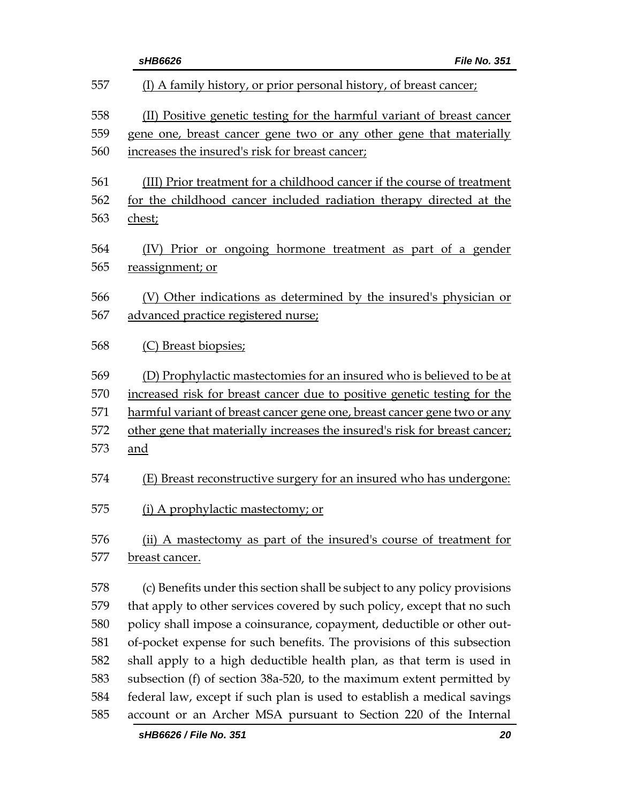|            | sHB6626<br>File No. 351                                                                                                                        |
|------------|------------------------------------------------------------------------------------------------------------------------------------------------|
| 557        | (I) A family history, or prior personal history, of breast cancer;                                                                             |
| 558        | (II) Positive genetic testing for the harmful variant of breast cancer                                                                         |
| 559        | gene one, breast cancer gene two or any other gene that materially                                                                             |
| 560        | increases the insured's risk for breast cancer;                                                                                                |
| 561<br>562 | (III) Prior treatment for a childhood cancer if the course of treatment<br>for the childhood cancer included radiation therapy directed at the |
| 563        | chest;                                                                                                                                         |
| 564<br>565 | Prior or ongoing hormone treatment as part of a gender<br>(IV)<br>reassignment; or                                                             |
| 566        | (V) Other indications as determined by the insured's physician or                                                                              |
| 567        | advanced practice registered nurse;                                                                                                            |
| 568        | (C) Breast biopsies;                                                                                                                           |
| 569        | (D) Prophylactic mastectomies for an insured who is believed to be at                                                                          |
| 570        | increased risk for breast cancer due to positive genetic testing for the                                                                       |
| 571        | harmful variant of breast cancer gene one, breast cancer gene two or any                                                                       |
| 572        | other gene that materially increases the insured's risk for breast cancer;                                                                     |
| 573        | and                                                                                                                                            |
| 574        | (E) Breast reconstructive surgery for an insured who has undergone:                                                                            |
| 575        | (i) A prophylactic mastectomy; or                                                                                                              |
| 576        | (ii) A mastectomy as part of the insured's course of treatment for                                                                             |
| 577        | breast cancer.                                                                                                                                 |
| 578        | (c) Benefits under this section shall be subject to any policy provisions                                                                      |
| 579        | that apply to other services covered by such policy, except that no such                                                                       |
| 580        | policy shall impose a coinsurance, copayment, deductible or other out-                                                                         |
| 581        | of-pocket expense for such benefits. The provisions of this subsection                                                                         |
| 582        | shall apply to a high deductible health plan, as that term is used in                                                                          |
| 583        | subsection (f) of section 38a-520, to the maximum extent permitted by                                                                          |
| 584        | federal law, except if such plan is used to establish a medical savings                                                                        |
| 585        | account or an Archer MSA pursuant to Section 220 of the Internal                                                                               |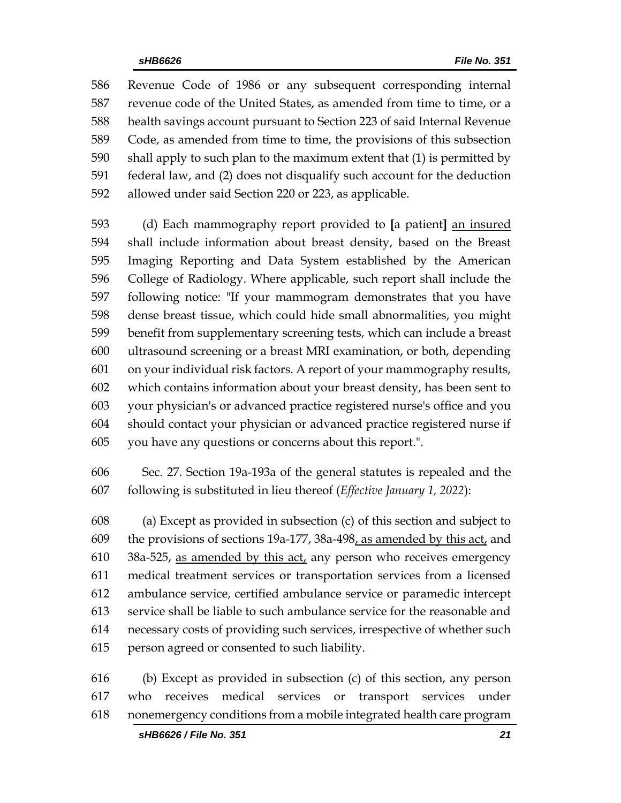Revenue Code of 1986 or any subsequent corresponding internal revenue code of the United States, as amended from time to time, or a health savings account pursuant to Section 223 of said Internal Revenue Code, as amended from time to time, the provisions of this subsection shall apply to such plan to the maximum extent that (1) is permitted by federal law, and (2) does not disqualify such account for the deduction allowed under said Section 220 or 223, as applicable.

 (d) Each mammography report provided to **[**a patient**]** an insured shall include information about breast density, based on the Breast Imaging Reporting and Data System established by the American College of Radiology. Where applicable, such report shall include the following notice: "If your mammogram demonstrates that you have dense breast tissue, which could hide small abnormalities, you might benefit from supplementary screening tests, which can include a breast ultrasound screening or a breast MRI examination, or both, depending on your individual risk factors. A report of your mammography results, which contains information about your breast density, has been sent to your physician's or advanced practice registered nurse's office and you should contact your physician or advanced practice registered nurse if you have any questions or concerns about this report.".

 Sec. 27. Section 19a-193a of the general statutes is repealed and the following is substituted in lieu thereof (*Effective January 1, 2022*):

 (a) Except as provided in subsection (c) of this section and subject to the provisions of sections 19a-177, 38a-498, as amended by this act, and 38a-525, as amended by this act, any person who receives emergency medical treatment services or transportation services from a licensed ambulance service, certified ambulance service or paramedic intercept service shall be liable to such ambulance service for the reasonable and necessary costs of providing such services, irrespective of whether such person agreed or consented to such liability.

 (b) Except as provided in subsection (c) of this section, any person who receives medical services or transport services under nonemergency conditions from a mobile integrated health care program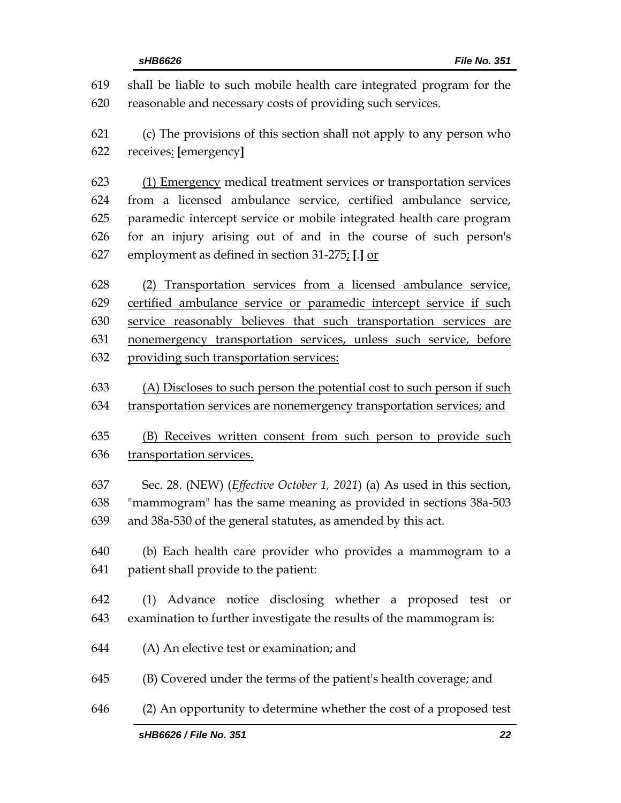|            | sHB6626 / File No. 351<br>22                                                                                                         |  |  |
|------------|--------------------------------------------------------------------------------------------------------------------------------------|--|--|
| 646        | (2) An opportunity to determine whether the cost of a proposed test                                                                  |  |  |
| 645        | (B) Covered under the terms of the patient's health coverage; and                                                                    |  |  |
| 644        | (A) An elective test or examination; and                                                                                             |  |  |
| 643        | examination to further investigate the results of the mammogram is:                                                                  |  |  |
| 642        | (1) Advance notice disclosing whether a proposed test or                                                                             |  |  |
| 641        | patient shall provide to the patient:                                                                                                |  |  |
| 640        | (b) Each health care provider who provides a mammogram to a                                                                          |  |  |
| 639        | and 38a-530 of the general statutes, as amended by this act.                                                                         |  |  |
| 638        | "mammogram" has the same meaning as provided in sections 38a-503                                                                     |  |  |
| 637        | Sec. 28. (NEW) ( <i>Effective October 1, 2021</i> ) (a) As used in this section,                                                     |  |  |
| 636        | transportation services.                                                                                                             |  |  |
| 635        | (B) Receives written consent from such person to provide such                                                                        |  |  |
| 634        | transportation services are nonemergency transportation services; and                                                                |  |  |
| 633        | (A) Discloses to such person the potential cost to such person if such                                                               |  |  |
| 632        | providing such transportation services:                                                                                              |  |  |
| 631        | nonemergency transportation services, unless such service, before                                                                    |  |  |
| 630        | service reasonably believes that such transportation services are                                                                    |  |  |
| 628<br>629 | (2) Transportation services from a licensed ambulance service,<br>certified ambulance service or paramedic intercept service if such |  |  |
| 627        | employment as defined in section 31-275; [.] or                                                                                      |  |  |
| 626        | for an injury arising out of and in the course of such person's                                                                      |  |  |
| 625        | paramedic intercept service or mobile integrated health care program                                                                 |  |  |
| 624        | from a licensed ambulance service, certified ambulance service,                                                                      |  |  |
| 623        | (1) Emergency medical treatment services or transportation services                                                                  |  |  |
| 622        | receives: [emergency]                                                                                                                |  |  |
| 621        | (c) The provisions of this section shall not apply to any person who                                                                 |  |  |
| 620        | reasonable and necessary costs of providing such services.                                                                           |  |  |
| 619        | shall be liable to such mobile health care integrated program for the                                                                |  |  |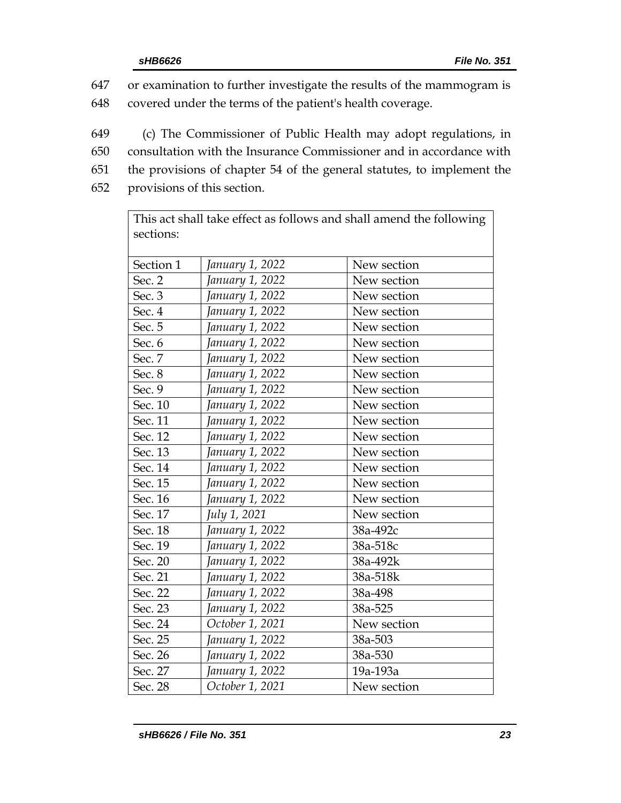647 or examination to further investigate the results of the mammogram is 648 covered under the terms of the patient's health coverage.

649 (c) The Commissioner of Public Health may adopt regulations, in 650 consultation with the Insurance Commissioner and in accordance with 651 the provisions of chapter 54 of the general statutes, to implement the

652 provisions of this section.

This act shall take effect as follows and shall amend the following sections:

| Section 1 | January 1, 2022 | New section |
|-----------|-----------------|-------------|
| Sec. 2    | January 1, 2022 | New section |
| Sec. 3    | January 1, 2022 | New section |
| Sec. 4    | January 1, 2022 | New section |
| Sec. 5    | January 1, 2022 | New section |
| Sec. 6    | January 1, 2022 | New section |
| Sec. 7    | January 1, 2022 | New section |
| Sec. 8    | January 1, 2022 | New section |
| Sec. 9    | January 1, 2022 | New section |
| Sec. 10   | January 1, 2022 | New section |
| Sec. 11   | January 1, 2022 | New section |
| Sec. 12   | January 1, 2022 | New section |
| Sec. 13   | January 1, 2022 | New section |
| Sec. 14   | January 1, 2022 | New section |
| Sec. 15   | January 1, 2022 | New section |
| Sec. 16   | January 1, 2022 | New section |
| Sec. 17   | July 1, 2021    | New section |
| Sec. 18   | January 1, 2022 | 38a-492c    |
| Sec. 19   | January 1, 2022 | 38a-518c    |
| Sec. 20   | January 1, 2022 | 38a-492k    |
| Sec. 21   | January 1, 2022 | 38a-518k    |
| Sec. 22   | January 1, 2022 | 38a-498     |
| Sec. 23   | January 1, 2022 | 38a-525     |
| Sec. 24   | October 1, 2021 | New section |
| Sec. 25   | January 1, 2022 | 38a-503     |
| Sec. 26   | January 1, 2022 | 38a-530     |
| Sec. 27   | January 1, 2022 | 19a-193a    |
| Sec. 28   | October 1, 2021 | New section |
|           |                 |             |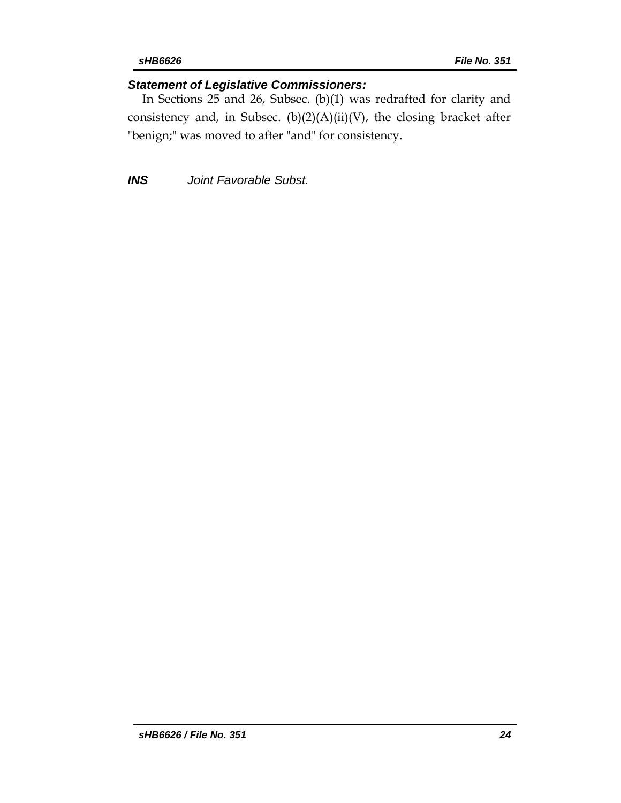# *Statement of Legislative Commissioners:*

In Sections 25 and 26, Subsec. (b)(1) was redrafted for clarity and consistency and, in Subsec.  $(b)(2)(A)(ii)(V)$ , the closing bracket after "benign;" was moved to after "and" for consistency.

*INS Joint Favorable Subst.*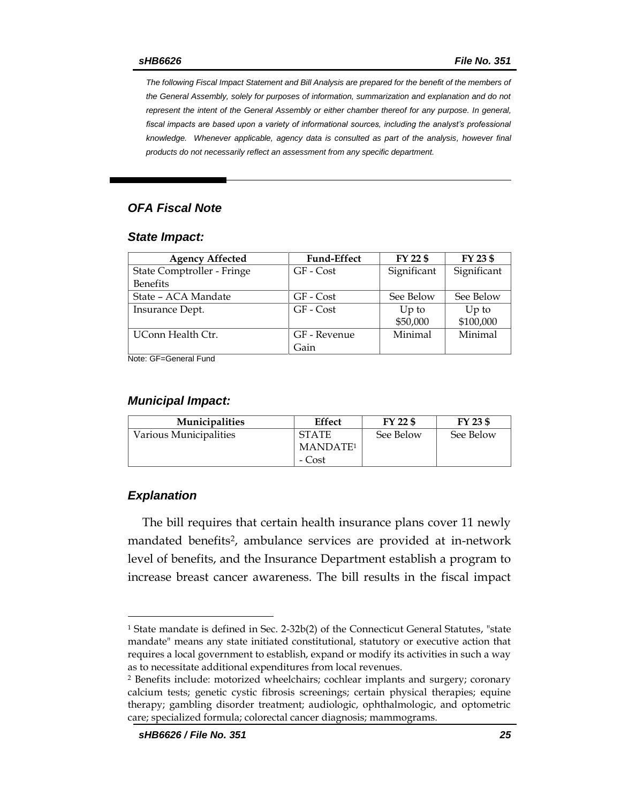*The following Fiscal Impact Statement and Bill Analysis are prepared for the benefit of the members of the General Assembly, solely for purposes of information, summarization and explanation and do not represent the intent of the General Assembly or either chamber thereof for any purpose. In general,*  fiscal impacts are based upon a variety of informational sources, including the analyst's professional *knowledge. Whenever applicable, agency data is consulted as part of the analysis, however final products do not necessarily reflect an assessment from any specific department.*

## *OFA Fiscal Note*

### *State Impact:*

| <b>Agency Affected</b>     | <b>Fund-Effect</b> | FY 22 \$    | FY 23 \$    |
|----------------------------|--------------------|-------------|-------------|
| State Comptroller - Fringe | GF - Cost          | Significant | Significant |
| <b>Benefits</b>            |                    |             |             |
| State – ACA Mandate        | GF - Cost          | See Below   | See Below   |
| Insurance Dept.            | GF - Cost          | $Up$ to     | $Up$ to     |
|                            |                    | \$50,000    | \$100,000   |
| UConn Health Ctr.          | GF - Revenue       | Minimal     | Minimal     |
|                            | Gain               |             |             |

Note: GF=General Fund

## *Municipal Impact:*

| <b>Municipalities</b>  | Effect               | $FY$ 22 \$ | FY 23 \$  |
|------------------------|----------------------|------------|-----------|
| Various Municipalities | <b>STATE</b>         | See Below  | See Below |
|                        | MANDATE <sup>1</sup> |            |           |
|                        | - Cost               |            |           |

## *Explanation*

 $\overline{a}$ 

The bill requires that certain health insurance plans cover 11 newly mandated benefits<sup>2</sup>, ambulance services are provided at in-network level of benefits, and the Insurance Department establish a program to increase breast cancer awareness. The bill results in the fiscal impact

<sup>1</sup> State mandate is defined in Sec. 2-32b(2) of the Connecticut General Statutes, "state mandate" means any state initiated constitutional, statutory or executive action that requires a local government to establish, expand or modify its activities in such a way as to necessitate additional expenditures from local revenues.

<sup>2</sup> Benefits include: motorized wheelchairs; cochlear implants and surgery; coronary calcium tests; genetic cystic fibrosis screenings; certain physical therapies; equine therapy; gambling disorder treatment; audiologic, ophthalmologic, and optometric care; specialized formula; colorectal cancer diagnosis; mammograms.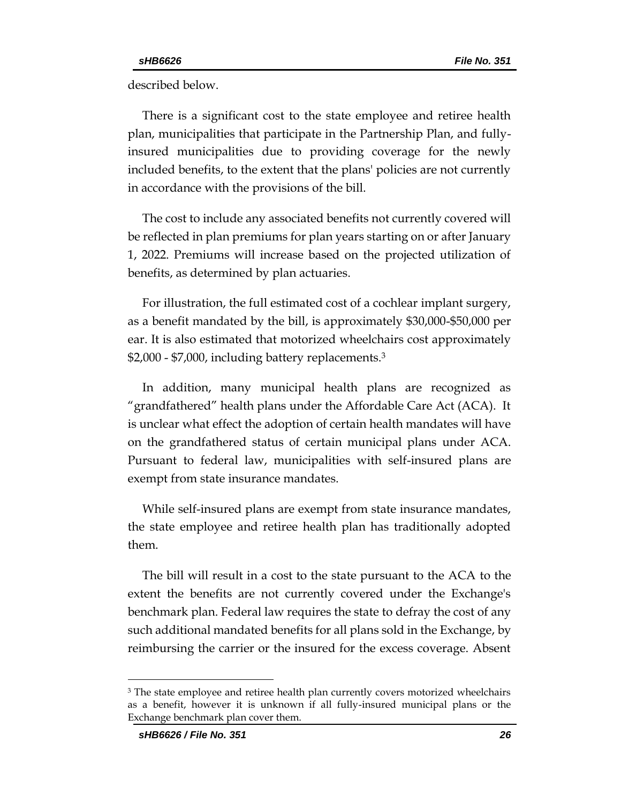described below.

There is a significant cost to the state employee and retiree health plan, municipalities that participate in the Partnership Plan, and fullyinsured municipalities due to providing coverage for the newly included benefits, to the extent that the plans' policies are not currently in accordance with the provisions of the bill.

The cost to include any associated benefits not currently covered will be reflected in plan premiums for plan years starting on or after January 1, 2022. Premiums will increase based on the projected utilization of benefits, as determined by plan actuaries.

For illustration, the full estimated cost of a cochlear implant surgery, as a benefit mandated by the bill, is approximately \$30,000-\$50,000 per ear. It is also estimated that motorized wheelchairs cost approximately \$2,000 - \$7,000, including battery replacements.<sup>3</sup>

In addition, many municipal health plans are recognized as "grandfathered" health plans under the Affordable Care Act (ACA). It is unclear what effect the adoption of certain health mandates will have on the grandfathered status of certain municipal plans under ACA. Pursuant to federal law, municipalities with self-insured plans are exempt from state insurance mandates.

While self-insured plans are exempt from state insurance mandates, the state employee and retiree health plan has traditionally adopted them.

The bill will result in a cost to the state pursuant to the ACA to the extent the benefits are not currently covered under the Exchange's benchmark plan. Federal law requires the state to defray the cost of any such additional mandated benefits for all plans sold in the Exchange, by reimbursing the carrier or the insured for the excess coverage. Absent

 $\overline{a}$ 

<sup>&</sup>lt;sup>3</sup> The state employee and retiree health plan currently covers motorized wheelchairs as a benefit, however it is unknown if all fully-insured municipal plans or the Exchange benchmark plan cover them.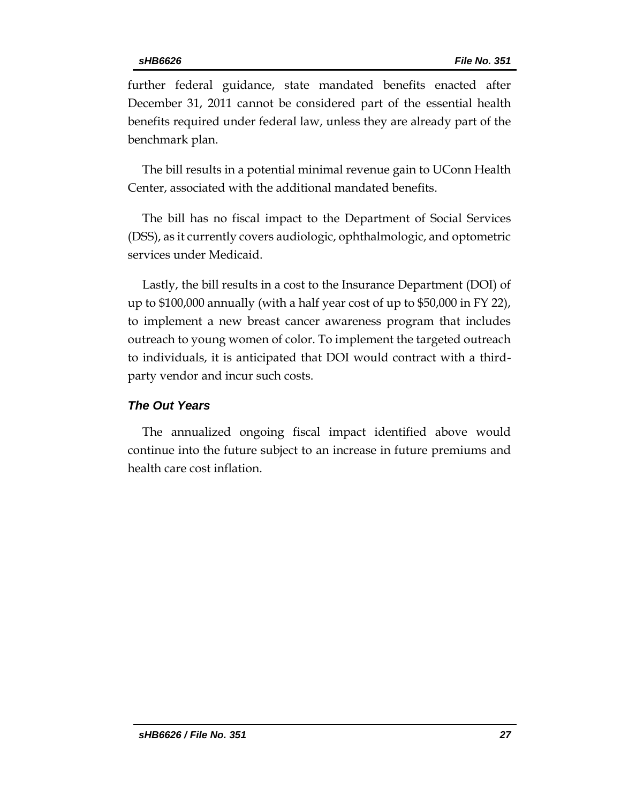further federal guidance, state mandated benefits enacted after December 31, 2011 cannot be considered part of the essential health benefits required under federal law, unless they are already part of the benchmark plan.

The bill results in a potential minimal revenue gain to UConn Health Center, associated with the additional mandated benefits.

The bill has no fiscal impact to the Department of Social Services (DSS), as it currently covers audiologic, ophthalmologic, and optometric services under Medicaid.

Lastly, the bill results in a cost to the Insurance Department (DOI) of up to \$100,000 annually (with a half year cost of up to \$50,000 in FY 22), to implement a new breast cancer awareness program that includes outreach to young women of color. To implement the targeted outreach to individuals, it is anticipated that DOI would contract with a thirdparty vendor and incur such costs.

## *The Out Years*

The annualized ongoing fiscal impact identified above would continue into the future subject to an increase in future premiums and health care cost inflation.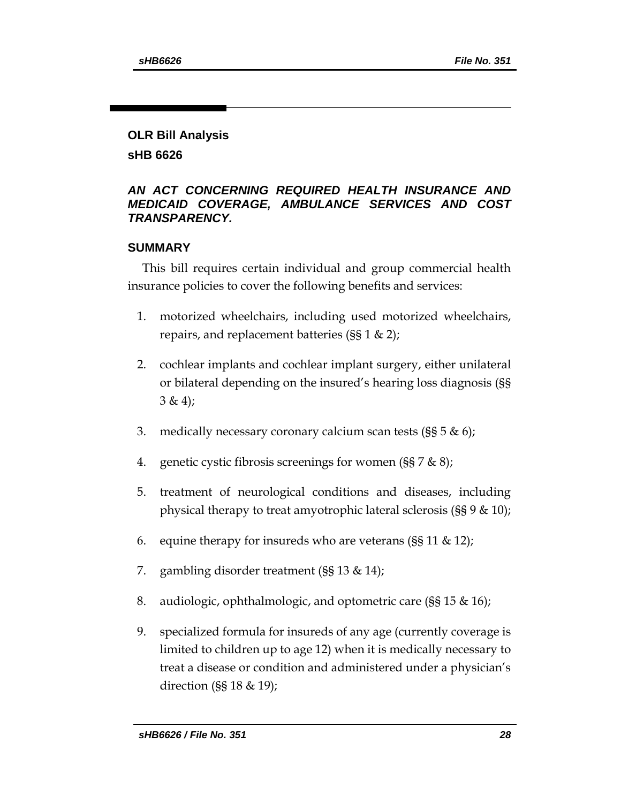# **OLR Bill Analysis**

**sHB 6626**

## *AN ACT CONCERNING REQUIRED HEALTH INSURANCE AND MEDICAID COVERAGE, AMBULANCE SERVICES AND COST TRANSPARENCY.*

## **SUMMARY**

This bill requires certain individual and group commercial health insurance policies to cover the following benefits and services:

- 1. motorized wheelchairs, including used motorized wheelchairs, repairs, and replacement batteries (§§ 1 & 2);
- 2. cochlear implants and cochlear implant surgery, either unilateral or bilateral depending on the insured's hearing loss diagnosis (§§  $3 \& 4);$
- 3. medically necessary coronary calcium scan tests ( $\S$ § 5 & 6);
- 4. genetic cystic fibrosis screenings for women  $(\S \S 7 \& 8)$ ;
- 5. treatment of neurological conditions and diseases, including physical therapy to treat amyotrophic lateral sclerosis (§§ 9 & 10);
- 6. equine therapy for insureds who are veterans ( $\S$ § 11 & 12);
- 7. gambling disorder treatment (§§ 13 & 14);
- 8. audiologic, ophthalmologic, and optometric care (§§ 15 & 16);
- 9. specialized formula for insureds of any age (currently coverage is limited to children up to age 12) when it is medically necessary to treat a disease or condition and administered under a physician's direction (§§ 18 & 19);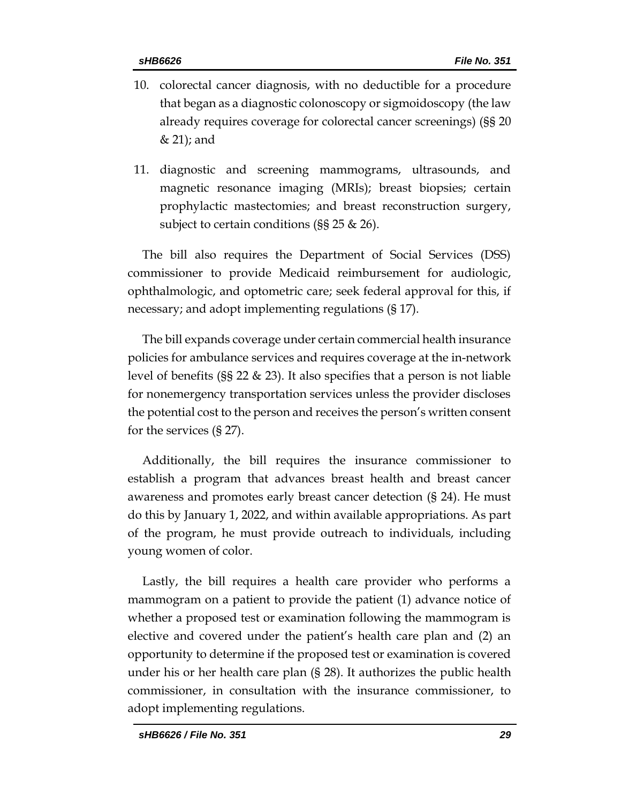- 10. colorectal cancer diagnosis, with no deductible for a procedure that began as a diagnostic colonoscopy or sigmoidoscopy (the law already requires coverage for colorectal cancer screenings) (§§ 20 & 21); and
- 11. diagnostic and screening mammograms, ultrasounds, and magnetic resonance imaging (MRIs); breast biopsies; certain prophylactic mastectomies; and breast reconstruction surgery, subject to certain conditions (§§ 25 & 26).

The bill also requires the Department of Social Services (DSS) commissioner to provide Medicaid reimbursement for audiologic, ophthalmologic, and optometric care; seek federal approval for this, if necessary; and adopt implementing regulations (§ 17).

The bill expands coverage under certain commercial health insurance policies for ambulance services and requires coverage at the in-network level of benefits (§§ 22 & 23). It also specifies that a person is not liable for nonemergency transportation services unless the provider discloses the potential cost to the person and receives the person's written consent for the services (§ 27).

Additionally, the bill requires the insurance commissioner to establish a program that advances breast health and breast cancer awareness and promotes early breast cancer detection (§ 24). He must do this by January 1, 2022, and within available appropriations. As part of the program, he must provide outreach to individuals, including young women of color.

Lastly, the bill requires a health care provider who performs a mammogram on a patient to provide the patient (1) advance notice of whether a proposed test or examination following the mammogram is elective and covered under the patient's health care plan and (2) an opportunity to determine if the proposed test or examination is covered under his or her health care plan (§ 28). It authorizes the public health commissioner, in consultation with the insurance commissioner, to adopt implementing regulations.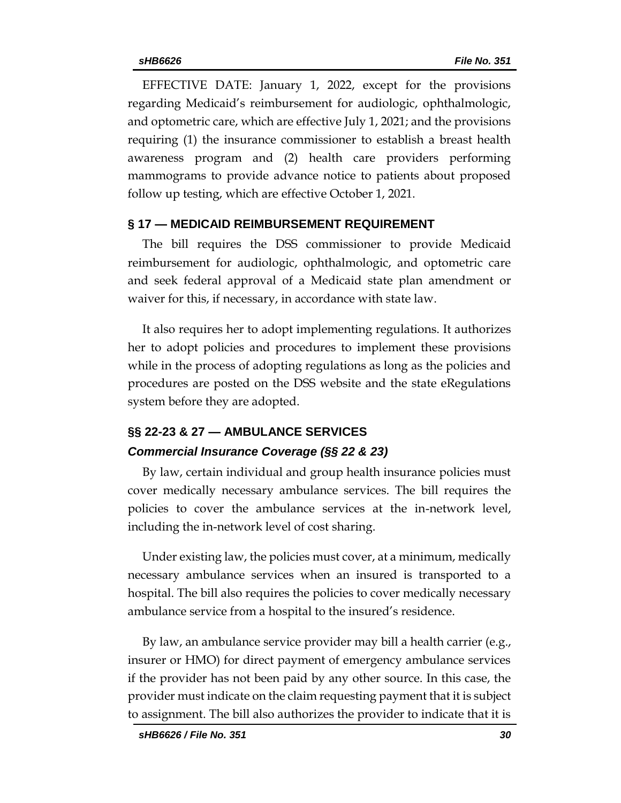EFFECTIVE DATE: January 1, 2022, except for the provisions regarding Medicaid's reimbursement for audiologic, ophthalmologic, and optometric care, which are effective July 1, 2021; and the provisions requiring (1) the insurance commissioner to establish a breast health awareness program and (2) health care providers performing mammograms to provide advance notice to patients about proposed follow up testing, which are effective October 1, 2021.

## **§ 17 — MEDICAID REIMBURSEMENT REQUIREMENT**

The bill requires the DSS commissioner to provide Medicaid reimbursement for audiologic, ophthalmologic, and optometric care and seek federal approval of a Medicaid state plan amendment or waiver for this, if necessary, in accordance with state law.

It also requires her to adopt implementing regulations. It authorizes her to adopt policies and procedures to implement these provisions while in the process of adopting regulations as long as the policies and procedures are posted on the DSS website and the state eRegulations system before they are adopted.

# **§§ 22-23 & 27 — AMBULANCE SERVICES** *Commercial Insurance Coverage (§§ 22 & 23)*

By law, certain individual and group health insurance policies must cover medically necessary ambulance services. The bill requires the policies to cover the ambulance services at the in-network level, including the in-network level of cost sharing.

Under existing law, the policies must cover, at a minimum, medically necessary ambulance services when an insured is transported to a hospital. The bill also requires the policies to cover medically necessary ambulance service from a hospital to the insured's residence.

By law, an ambulance service provider may bill a health carrier (e.g., insurer or HMO) for direct payment of emergency ambulance services if the provider has not been paid by any other source. In this case, the provider must indicate on the claim requesting payment that it is subject to assignment. The bill also authorizes the provider to indicate that it is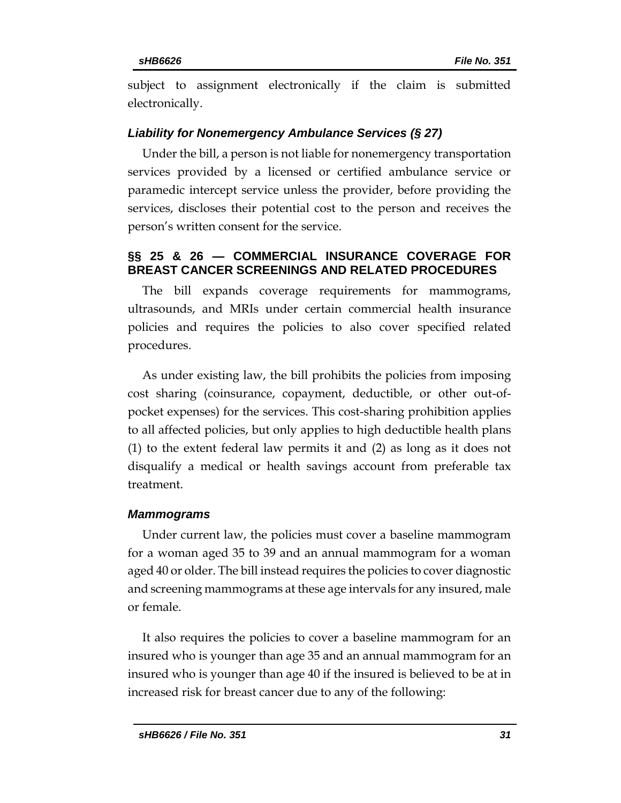subject to assignment electronically if the claim is submitted electronically.

## *Liability for Nonemergency Ambulance Services (§ 27)*

Under the bill, a person is not liable for nonemergency transportation services provided by a licensed or certified ambulance service or paramedic intercept service unless the provider, before providing the services, discloses their potential cost to the person and receives the person's written consent for the service.

## **§§ 25 & 26 — COMMERCIAL INSURANCE COVERAGE FOR BREAST CANCER SCREENINGS AND RELATED PROCEDURES**

The bill expands coverage requirements for mammograms, ultrasounds, and MRIs under certain commercial health insurance policies and requires the policies to also cover specified related procedures.

As under existing law, the bill prohibits the policies from imposing cost sharing (coinsurance, copayment, deductible, or other out-ofpocket expenses) for the services. This cost-sharing prohibition applies to all affected policies, but only applies to high deductible health plans (1) to the extent federal law permits it and (2) as long as it does not disqualify a medical or health savings account from preferable tax treatment.

## *Mammograms*

Under current law, the policies must cover a baseline mammogram for a woman aged 35 to 39 and an annual mammogram for a woman aged 40 or older. The bill instead requires the policies to cover diagnostic and screening mammograms at these age intervals for any insured, male or female.

It also requires the policies to cover a baseline mammogram for an insured who is younger than age 35 and an annual mammogram for an insured who is younger than age 40 if the insured is believed to be at in increased risk for breast cancer due to any of the following: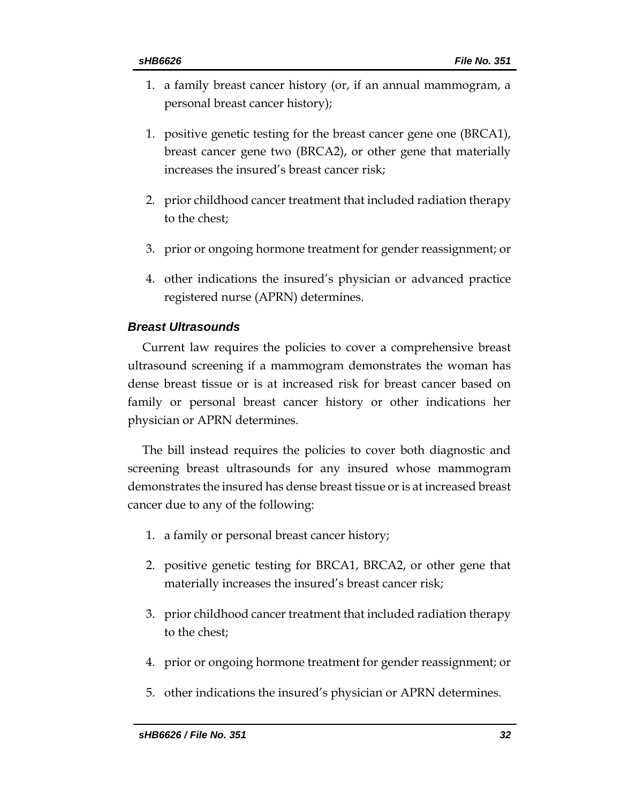- 1. a family breast cancer history (or, if an annual mammogram, a personal breast cancer history);
- 1. positive genetic testing for the breast cancer gene one (BRCA1), breast cancer gene two (BRCA2), or other gene that materially increases the insured's breast cancer risk;
- 2. prior childhood cancer treatment that included radiation therapy to the chest;
- 3. prior or ongoing hormone treatment for gender reassignment; or
- 4. other indications the insured's physician or advanced practice registered nurse (APRN) determines.

# *Breast Ultrasounds*

Current law requires the policies to cover a comprehensive breast ultrasound screening if a mammogram demonstrates the woman has dense breast tissue or is at increased risk for breast cancer based on family or personal breast cancer history or other indications her physician or APRN determines.

The bill instead requires the policies to cover both diagnostic and screening breast ultrasounds for any insured whose mammogram demonstrates the insured has dense breast tissue or is at increased breast cancer due to any of the following:

- 1. a family or personal breast cancer history;
- 2. positive genetic testing for BRCA1, BRCA2, or other gene that materially increases the insured's breast cancer risk;
- 3. prior childhood cancer treatment that included radiation therapy to the chest;
- 4. prior or ongoing hormone treatment for gender reassignment; or
- 5. other indications the insured's physician or APRN determines.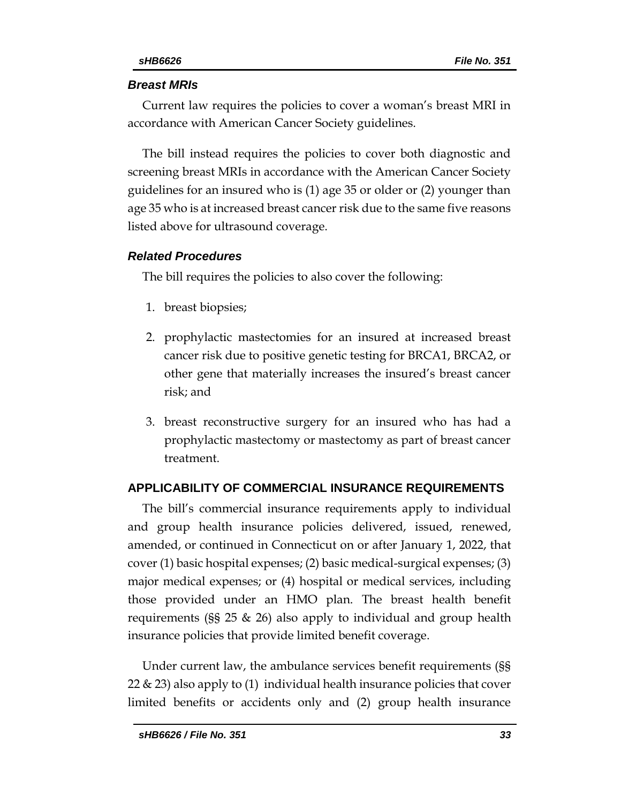## *Breast MRIs*

Current law requires the policies to cover a woman's breast MRI in accordance with American Cancer Society guidelines.

The bill instead requires the policies to cover both diagnostic and screening breast MRIs in accordance with the American Cancer Society guidelines for an insured who is (1) age 35 or older or (2) younger than age 35 who is at increased breast cancer risk due to the same five reasons listed above for ultrasound coverage.

# *Related Procedures*

The bill requires the policies to also cover the following:

- 1. breast biopsies;
- 2. prophylactic mastectomies for an insured at increased breast cancer risk due to positive genetic testing for BRCA1, BRCA2, or other gene that materially increases the insured's breast cancer risk; and
- 3. breast reconstructive surgery for an insured who has had a prophylactic mastectomy or mastectomy as part of breast cancer treatment.

# **APPLICABILITY OF COMMERCIAL INSURANCE REQUIREMENTS**

The bill's commercial insurance requirements apply to individual and group health insurance policies delivered, issued, renewed, amended, or continued in Connecticut on or after January 1, 2022, that cover (1) basic hospital expenses; (2) basic medical-surgical expenses; (3) major medical expenses; or (4) hospital or medical services, including those provided under an HMO plan. The breast health benefit requirements (§§ 25 & 26) also apply to individual and group health insurance policies that provide limited benefit coverage.

Under current law, the ambulance services benefit requirements (§§ 22 & 23) also apply to (1) individual health insurance policies that cover limited benefits or accidents only and (2) group health insurance